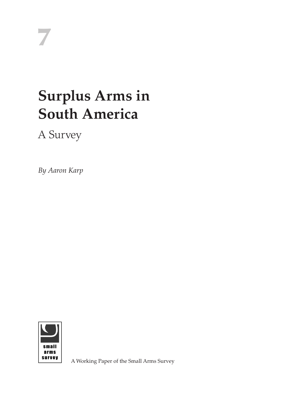# **Surplus Arms in South America**

A Survey

*By Aaron Karp*



A Working Paper of the Small Arms Survey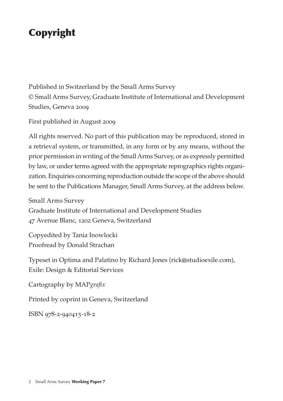# Copyright

Published in Switzerland by the Small Arms Survey © Small Arms Survey, Graduate Institute of International and Development Studies, Geneva 2009

First published in August 2009

All rights reserved. No part of this publication may be reproduced, stored in a retrieval system, or transmitted, in any form or by any means, without the prior permission in writing of the Small Arms Survey, or as expressly permitted by law, or under terms agreed with the appropriate reprographics rights organization. Enquiries concerning reproduction outside the scope of the above should be sent to the Publications Manager, Small Arms Survey, at the address below.

Small Arms Survey Graduate Institute of International and Development Studies 47 Avenue Blanc, 1202 Geneva, Switzerland

Copyedited by Tania Inowlocki Proofread by Donald Strachan

Typeset in Optima and Palatino by Richard Jones (rick@studioexile.com), Exile: Design & Editorial Services

Cartography by MAP*grafix*

Printed by coprint in Geneva, Switzerland

ISBN 978-2-940415-18-2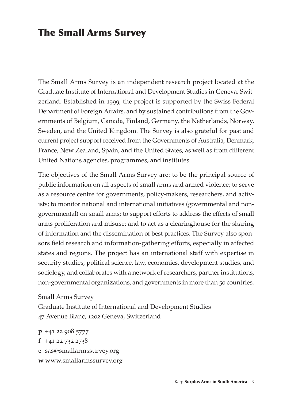# The Small Arms Survey

The Small Arms Survey is an independent research project located at the Graduate Institute of International and Development Studies in Geneva, Switzerland. Established in 1999, the project is supported by the Swiss Federal Department of Foreign Affairs, and by sustained contributions from the Governments of Belgium, Canada, Finland, Germany, the Netherlands, Norway, Sweden, and the United Kingdom. The Survey is also grateful for past and current project support received from the Governments of Australia, Denmark, France, New Zealand, Spain, and the United States, as well as from different United Nations agencies, programmes, and institutes.

The objectives of the Small Arms Survey are: to be the principal source of public information on all aspects of small arms and armed violence; to serve as a resource centre for governments, policy-makers, researchers, and activists; to monitor national and international initiatives (governmental and nongovernmental) on small arms; to support efforts to address the effects of small arms proliferation and misuse; and to act as a clearinghouse for the sharing of information and the dissemination of best practices. The Survey also sponsors field research and information-gathering efforts, especially in affected states and regions. The project has an international staff with expertise in security studies, political science, law, economics, development studies, and sociology, and collaborates with a network of researchers, partner institutions, non-governmental organizations, and governments in more than 50 countries.

Small Arms Survey Graduate Institute of International and Development Studies 47 Avenue Blanc, 1202 Geneva, Switzerland

**p** +41 22 908 5777 **f** +41 22 732 2738 **e**sas@smallarmssurvey.org **w** www.smallarmssurvey.org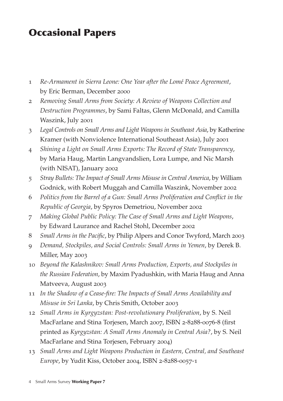# Occasional Papers

- 1 *Re-Armament in Sierra Leone: One Year after the Lomé Peace Agreement*, by Eric Berman, December 2000
- 2 *Removing Small Arms from Society: A Review of Weapons Collection and Destruction Programmes*, by Sami Faltas, Glenn McDonald, and Camilla Waszink, July 2001
- 3 *Legal Controls on Small Arms and Light Weapons in Southeast Asia*, by Katherine Kramer (with Nonviolence International Southeast Asia), July 2001
- 4 *Shining a Light on Small Arms Exports: The Record of State Transparency*, by Maria Haug, Martin Langvandslien, Lora Lumpe, and Nic Marsh (with NISAT), January 2002
- 5 *Stray Bullets: The Impact of Small Arms Misuse in Central America*, by William Godnick, with Robert Muggah and Camilla Waszink, November 2002
- 6 *Politics from the Barrel of a Gun: Small Arms Proliferation and Conflict in the Republic of Georgia*, by Spyros Demetriou, November 2002
- 7 *Making Global Public Policy: The Case of Small Arms and Light Weapons*, by Edward Laurance and Rachel Stohl, December 2002
- 8 *Small Arms in the Pacific*, by Philip Alpers and Conor Twyford, March 2003
- 9 *Demand, Stockpiles, and Social Controls: Small Arms in Yemen*, by Derek B. Miller, May 2003
- 10 *Beyond the Kalashnikov: Small Arms Production, Exports, and Stockpiles in the Russian Federation*, by Maxim Pyadushkin, with Maria Haug and Anna Matveeva, August 2003
- 11 *In the Shadow of a Cease-fire: The Impacts of Small Arms Availability and Misuse in Sri Lanka*, by Chris Smith, October 2003
- 12 *Small Arms in Kyrgyzstan: Post-revolutionary Proliferation*, by S. Neil MacFarlane and Stina Torjesen, March 2007, ISBN 2-8288-0076-8 (first printed as *Kyrgyzstan: A Small Arms Anomaly in Central Asia?*, by S. Neil MacFarlane and Stina Torjesen, February 2004)
- 13 *Small Arms and Light Weapons Production in Eastern, Central, and Southeast Europe*, by Yudit Kiss, October 2004, ISBN 2-8288-0057-1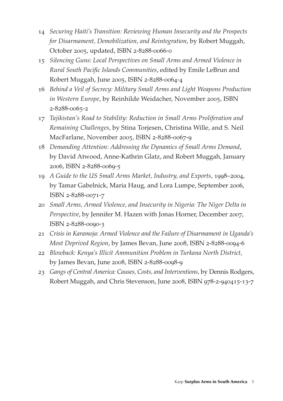- 14 *Securing Haiti's Transition: Reviewing Human Insecurity and the Prospects for Disarmament, Demobilization, and Reintegration*, by Robert Muggah, October 2005, updated, ISBN 2-8288-0066-0
- 15 *Silencing Guns: Local Perspectives on Small Arms and Armed Violence in Rural South Pacific Islands Communities*, edited by Emile LeBrun and Robert Muggah, June 2005, ISBN 2-8288-0064-4
- 16 *Behind a Veil of Secrecy: Military Small Arms and Light Weapons Production in Western Europe*, by Reinhilde Weidacher, November 2005, ISBN 2-8288-0065-2
- 17 *Tajikistan's Road to Stability: Reduction in Small Arms Proliferation and Remaining Challenges*, by Stina Torjesen, Christina Wille, and S. Neil MacFarlane, November 2005, ISBN 2-8288-0067-9
- 18 *Demanding Attention: Addressing the Dynamics of Small Arms Demand*, by David Atwood, Anne-Kathrin Glatz, and Robert Muggah, January 2006, ISBN 2-8288-0069-5
- 19 *A Guide to the US Small Arms Market, Industry, and Exports*, 1998–2004, by Tamar Gabelnick, Maria Haug, and Lora Lumpe, September 2006, ISBN 2-8288-0071-7
- 20 *Small Arms, Armed Violence, and Insecurity in Nigeria: The Niger Delta in Perspective*, by Jennifer M. Hazen with Jonas Horner, December 2007, ISBN 2-8288-0090-3
- 21 *Crisis in Karamoja: Armed Violence and the Failure of Disarmament in Uganda's Most Deprived Region*, by James Bevan, June 2008, ISBN 2-8288-0094-6
- 22 *Blowback: Kenya's Illicit Ammunition Problem in Turkana North District,*  by James Bevan, June 2008, ISBN 2-8288-0098-9
- 23 *Gangs of Central America: Causes, Costs, and Interventions,* by Dennis Rodgers, Robert Muggah, and Chris Stevenson, June 2008, ISBN 978-2-940415-13-7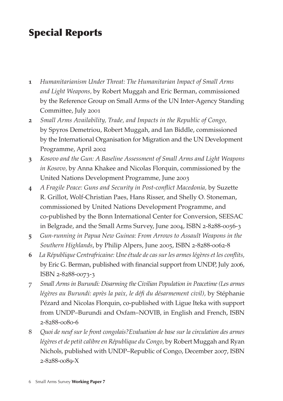# Special Reports

- **1** *Humanitarianism Under Threat: The Humanitarian Impact of Small Arms and Light Weapons,* by Robert Muggah and Eric Berman, commissioned by the Reference Group on Small Arms of the UN Inter-Agency Standing Committee, July 2001
- **2** *Small Arms Availability, Trade, and Impacts in the Republic of Congo,*  by Spyros Demetriou, Robert Muggah, and Ian Biddle, commissioned by the International Organisation for Migration and the UN Development Programme, April 2002
- **3** *Kosovo and the Gun: A Baseline Assessment of Small Arms and Light Weapons in Kosovo,* by Anna Khakee and Nicolas Florquin, commissioned by the United Nations Development Programme, June 2003
- **4** *A Fragile Peace: Guns and Security in Post-conflict Macedonia,* by Suzette R. Grillot, Wolf-Christian Paes, Hans Risser, and Shelly O. Stoneman, commissioned by United Nations Development Programme, and co-published by the Bonn International Center for Conversion, SEESAC in Belgrade, and the Small Arms Survey, June 2004, ISBN 2-8288-0056-3
- **5** *Gun-running in Papua New Guinea: From Arrows to Assault Weapons in the Southern Highlands*, by Philip Alpers, June 2005, ISBN 2-8288-0062-8
- **6** *La République Centrafricaine: Une étude de cas sur les armes légères et les conflits,* by Eric G. Berman, published with financial support from UNDP, July 2006, ISBN 2-8288-0073-3
- 7 *Small Arms in Burundi: Disarming the Civilian Population in Peacetime (Les armes*  légères au Burundi: après la paix, le défi du désarmement civil), by Stéphanie Pézard and Nicolas Florquin, co-published with Ligue Iteka with support from UNDP–Burundi and Oxfam–NOVIB, in English and French, ISBN 2-8288-0080-6
- 8 *Quoi de neuf sur le front congolais?Evaluation de base sur la circulation des armes légères et de petit calibre en République du Congo,* by Robert Muggah and Ryan Nichols, published with UNDP–Republic of Congo, December 2007, ISBN 2-8288-0089-X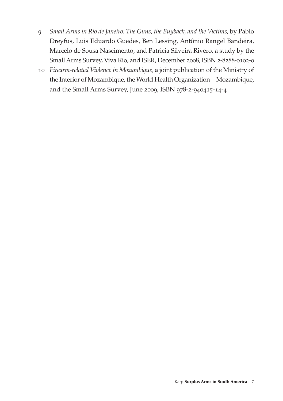- 9 *Small Arms in Rio de Janeiro: The Guns, the Buyback, and the Victims,* by Pablo Dreyfus, Luis Eduardo Guedes, Ben Lessing, Antônio Rangel Bandeira, Marcelo de Sousa Nascimento, and Patricia Silveira Rivero, a study by the Small Arms Survey, Viva Rio, and ISER, December 2008, ISBN 2-8288-0102-0
- 10 *Firearm-related Violence in Mozambique,* a joint publication of the Ministry of the Interior of Mozambique, the World Health Organization—Mozambique, and the Small Arms Survey, June 2009, ISBN 978-2-940415-14-4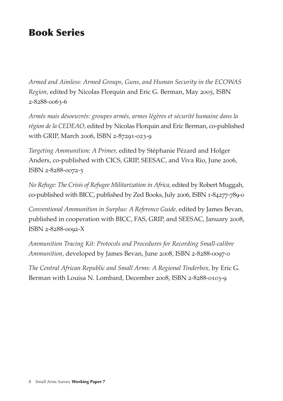# Book Series

*Armed and Aimless: Armed Groups, Guns, and Human Security in the ECOWAS Region,* edited by Nicolas Florquin and Eric G. Berman, May 2005, ISBN 2-8288-0063-6

*Armés mais désoeuvrés: groupes armés, armes légères et sécurité humaine dans la région de la CEDEAO,* edited by Nicolas Florquin and Eric Berman, co-published with GRIP, March 2006, ISBN 2-87291-023-9

*Targeting Ammunition: A Primer,* edited by Stéphanie Pézard and Holger Anders, co-published with CICS, GRIP, SEESAC, and Viva Rio, June 2006, ISBN 2-8288-0072-5

*No Refuge: The Crisis of Refugee Militarization in Africa,* edited by Robert Muggah, co-published with BICC, published by Zed Books, July 2006, ISBN 1-84277-789-0

*Conventional Ammunition in Surplus: A Reference Guide,* edited by James Bevan, published in cooperation with BICC, FAS, GRIP, and SEESAC, January 2008, ISBN 2-8288-0092-X

*Ammunition Tracing Kit: Protocols and Procedures for Recording Small-calibre Ammunition,* developed by James Bevan, June 2008, ISBN 2-8288-0097-0

*The Central African Republic and Small Arms: A Regional Tinderbox,* by Eric G. Berman with Louisa N. Lombard, December 2008, ISBN 2-8288-0103-9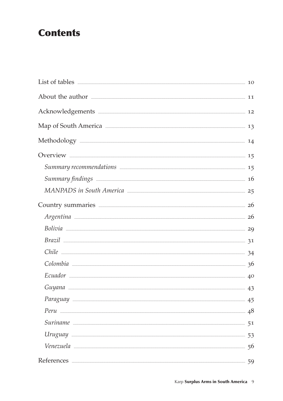# **Contents**

| Acknowledgements <b>Exercise Contract Contract 2</b>                                                                                                                                                                                 |  |
|--------------------------------------------------------------------------------------------------------------------------------------------------------------------------------------------------------------------------------------|--|
| Map of South America <b>Election</b> 23                                                                                                                                                                                              |  |
|                                                                                                                                                                                                                                      |  |
|                                                                                                                                                                                                                                      |  |
| Summary recommendations <b>communities</b> 15                                                                                                                                                                                        |  |
| Summary findings <b>contained a substantial contract of the set of the set of the set of the set of the set of the set of the set of the set of the set of the set of the set of the set of the set of the set of the set of the</b> |  |
| MANPADS in South America <b>Manual America</b> 25                                                                                                                                                                                    |  |
| Country summaries <b>Executive Service Country summaries</b> 26                                                                                                                                                                      |  |
|                                                                                                                                                                                                                                      |  |
| Bolivia 29                                                                                                                                                                                                                           |  |
| $Brazil$ 31                                                                                                                                                                                                                          |  |
| Chile 24                                                                                                                                                                                                                             |  |
|                                                                                                                                                                                                                                      |  |
|                                                                                                                                                                                                                                      |  |
|                                                                                                                                                                                                                                      |  |
| Paraguay 25                                                                                                                                                                                                                          |  |
|                                                                                                                                                                                                                                      |  |
|                                                                                                                                                                                                                                      |  |
|                                                                                                                                                                                                                                      |  |
|                                                                                                                                                                                                                                      |  |
| References 59                                                                                                                                                                                                                        |  |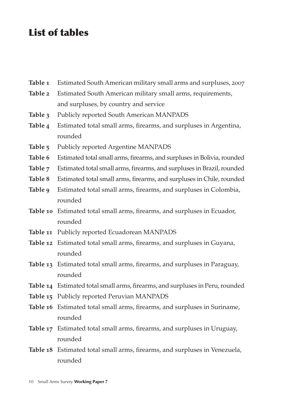# List of tables

| Table 1 | Estimated South American military small arms and surpluses, 2007              |
|---------|-------------------------------------------------------------------------------|
| Table 2 | Estimated South American military small arms, requirements,                   |
|         | and surpluses, by country and service                                         |
| Table 3 | Publicly reported South American MANPADS                                      |
| Table 4 | Estimated total small arms, firearms, and surpluses in Argentina,             |
|         | rounded                                                                       |
| Table 5 | Publicly reported Argentine MANPADS                                           |
| Table 6 | Estimated total small arms, firearms, and surpluses in Bolivia, rounded       |
| Table 7 | Estimated total small arms, firearms, and surpluses in Brazil, rounded        |
| Table 8 | Estimated total small arms, firearms, and surpluses in Chile, rounded         |
| Table 9 | Estimated total small arms, firearms, and surpluses in Colombia,              |
|         | rounded                                                                       |
|         | Table 10 Estimated total small arms, firearms, and surpluses in Ecuador,      |
|         | rounded                                                                       |
|         | Table 11 Publicly reported Ecuadorean MANPADS                                 |
|         | Table 12 Estimated total small arms, firearms, and surpluses in Guyana,       |
|         | rounded                                                                       |
|         | Table 13 Estimated total small arms, firearms, and surpluses in Paraguay,     |
|         | rounded                                                                       |
|         | Table 14 Estimated total small arms, firearms, and surpluses in Peru, rounded |
|         | Table 15 Publicly reported Peruvian MANPADS                                   |
|         | Table 16 Estimated total small arms, firearms, and surpluses in Suriname,     |
|         | rounded                                                                       |
|         | Table 17 Estimated total small arms, firearms, and surpluses in Uruguay,      |
|         | rounded                                                                       |
|         | Table 18 Estimated total small arms, firearms, and surpluses in Venezuela,    |
|         | rounded                                                                       |
|         |                                                                               |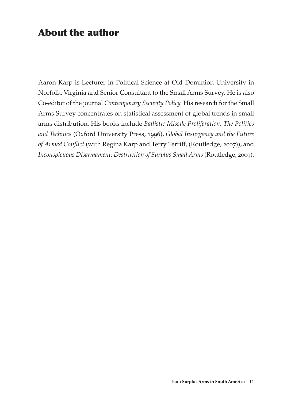# About the author

Aaron Karp is Lecturer in Political Science at Old Dominion University in Norfolk, Virginia and Senior Consultant to the Small Arms Survey. He is also Co-editor of the journal *Contemporary Security Policy.* His research for the Small Arms Survey concentrates on statistical assessment of global trends in small arms distribution. His books include *Ballistic Missile Proliferation: The Politics and Technics* (Oxford University Press, 1996), *Global Insurgency and the Future of Armed Conflict* (with Regina Karp and Terry Terriff, (Routledge, 2007)), and *Inconspicuous Disarmament: Destruction of Surplus Small Arms* (Routledge, 2009).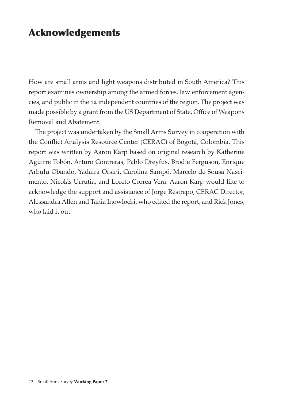# Acknowledgements

How are small arms and light weapons distributed in South America? This report examines ownership among the armed forces, law enforcement agencies, and public in the 12 independent countries of the region. The project was made possible by a grant from the US Department of State, Office of Weapons Removal and Abatement.

The project was undertaken by the Small Arms Survey in cooperation with the Conflict Analysis Resource Center (CERAC) of Bogotá, Colombia. This report was written by Aaron Karp based on original research by Katherine Aguirre Tobón, Arturo Contreras, Pablo Dreyfus, Brodie Ferguson, Enrique Arbulú Obando, Yadaira Orsini, Carolina Sampó, Marcelo de Sousa Nascimento, Nicolás Urrutia, and Loreto Correa Vera. Aaron Karp would like to acknowledge the support and assistance of Jorge Restrepo, CERAC Director, Alessandra Allen and Tania Inowlocki, who edited the report, and Rick Jones, who laid it out.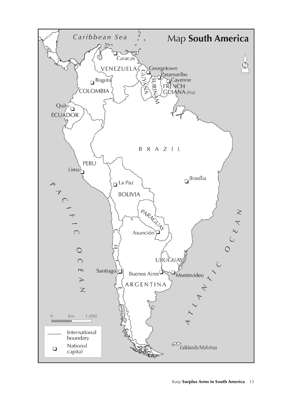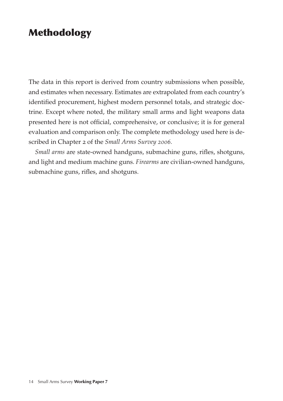# Methodology

The data in this report is derived from country submissions when possible, and estimates when necessary. Estimates are extrapolated from each country's identified procurement, highest modern personnel totals, and strategic doctrine. Except where noted, the military small arms and light weapons data presented here is not official, comprehensive, or conclusive; it is for general evaluation and comparison only. The complete methodology used here is described in Chapter 2 of the *Small Arms Survey 2006.*

*Small arms* are state-owned handguns, submachine guns, rifles, shotguns, and light and medium machine guns. *Firearms* are civilian-owned handguns, submachine guns, rifles, and shotguns.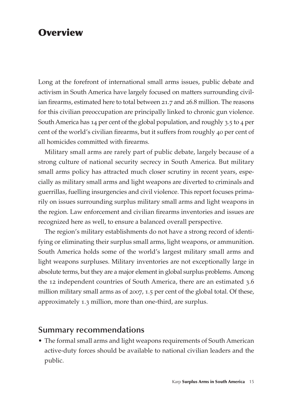# **Overview**

Long at the forefront of international small arms issues, public debate and activism in South America have largely focused on matters surrounding civilian firearms, estimated here to total between 21.7 and 26.8 million. The reasons for this civilian preoccupation are principally linked to chronic gun violence. South America has 14 per cent of the global population, and roughly 3.5 to 4 per cent of the world's civilian firearms, but it suffers from roughly 40 per cent of all homicides committed with firearms.

Military small arms are rarely part of public debate, largely because of a strong culture of national security secrecy in South America. But military small arms policy has attracted much closer scrutiny in recent years, especially as military small arms and light weapons are diverted to criminals and guerrillas, fuelling insurgencies and civil violence. This report focuses primarily on issues surrounding surplus military small arms and light weapons in the region. Law enforcement and civilian firearms inventories and issues are recognized here as well, to ensure a balanced overall perspective.

The region's military establishments do not have a strong record of identifying or eliminating their surplus small arms, light weapons, or ammunition. South America holds some of the world's largest military small arms and light weapons surpluses. Military inventories are not exceptionally large in absolute terms, but they are a major element in global surplus problems. Among the 12 independent countries of South America, there are an estimated 3.6 million military small arms as of 2007, 1.5 per cent of the global total. Of these, approximately 1.3 million, more than one-third, are surplus.

#### **Summary recommendations**

• The formal small arms and light weapons requirements of South American active-duty forces should be available to national civilian leaders and the public.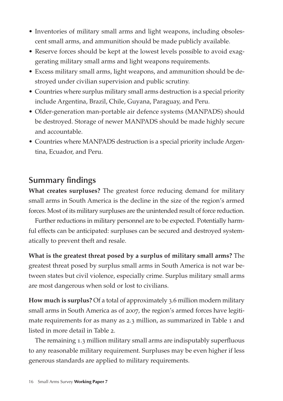- Inventories of military small arms and light weapons, including obsolescent small arms, and ammunition should be made publicly available.
- Reserve forces should be kept at the lowest levels possible to avoid exaggerating military small arms and light weapons requirements.
- Excess military small arms, light weapons, and ammunition should be destroyed under civilian supervision and public scrutiny.
- Countries where surplus military small arms destruction is a special priority include Argentina, Brazil, Chile, Guyana, Paraguay, and Peru.
- Older-generation man-portable air defence systems (MANPADS) should be destroyed. Storage of newer MANPADS should be made highly secure and accountable.
- Countries where MANPADS destruction is a special priority include Argentina, Ecuador, and Peru.

### **Summary findings**

**What creates surpluses?** The greatest force reducing demand for military small arms in South America is the decline in the size of the region's armed forces. Most of its military surpluses are the unintended result of force reduction.

Further reductions in military personnel are to be expected. Potentially harmful effects can be anticipated: surpluses can be secured and destroyed systematically to prevent theft and resale.

**What is the greatest threat posed by a surplus of military small arms?** The greatest threat posed by surplus small arms in South America is not war between states but civil violence, especially crime. Surplus military small arms are most dangerous when sold or lost to civilians.

**How much is surplus?** Of a total of approximately 3.6 million modern military small arms in South America as of 2007, the region's armed forces have legitimate requirements for as many as 2.3 million, as summarized in Table 1 and listed in more detail in Table 2.

The remaining 1.3 million military small arms are indisputably superfluous to any reasonable military requirement. Surpluses may be even higher if less generous standards are applied to military requirements.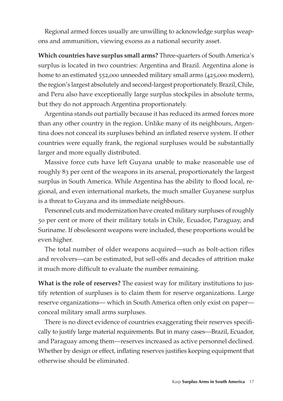Regional armed forces usually are unwilling to acknowledge surplus weapons and ammunition, viewing excess as a national security asset.

**Which countries have surplus small arms?** Three-quarters of South America's surplus is located in two countries: Argentina and Brazil. Argentina alone is home to an estimated 552,000 unneeded military small arms (425,000 modern), the region's largest absolutely and second-largest proportionately. Brazil, Chile, and Peru also have exceptionally large surplus stockpiles in absolute terms, but they do not approach Argentina proportionately.

Argentina stands out partially because it has reduced its armed forces more than any other country in the region. Unlike many of its neighbours, Argentina does not conceal its surpluses behind an inflated reserve system. If other countries were equally frank, the regional surpluses would be substantially larger and more equally distributed.

Massive force cuts have left Guyana unable to make reasonable use of roughly 83 per cent of the weapons in its arsenal, proportionately the largest surplus in South America. While Argentina has the ability to flood local, regional, and even international markets, the much smaller Guyanese surplus is a threat to Guyana and its immediate neighbours.

Personnel cuts and modernization have created military surpluses of roughly 50 per cent or more of their military totals in Chile, Ecuador, Paraguay, and Suriname. If obsolescent weapons were included, these proportions would be even higher.

The total number of older weapons acquired—such as bolt-action rifles and revolvers—can be estimated, but sell-offs and decades of attrition make it much more difficult to evaluate the number remaining.

**What is the role of reserves?** The easiest way for military institutions to justify retention of surpluses is to claim them for reserve organizations. Large reserve organizations— which in South America often only exist on paper conceal military small arms surpluses.

There is no direct evidence of countries exaggerating their reserves specifically to justify large material requirements. But in many cases—Brazil, Ecuador, and Paraguay among them—reserves increased as active personnel declined. Whether by design or effect, inflating reserves justifies keeping equipment that otherwise should be eliminated.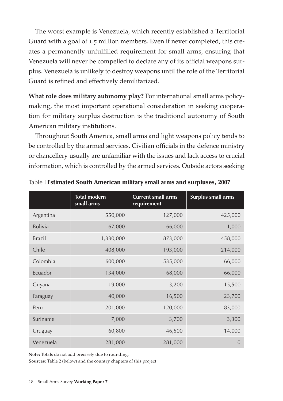The worst example is Venezuela, which recently established a Territorial Guard with a goal of 1.5 million members. Even if never completed, this creates a permanently unfulfilled requirement for small arms, ensuring that Venezuela will never be compelled to declare any of its official weapons surplus. Venezuela is unlikely to destroy weapons until the role of the Territorial Guard is refined and effectively demilitarized.

**What role does military autonomy play?** For international small arms policymaking, the most important operational consideration in seeking cooperation for military surplus destruction is the traditional autonomy of South American military institutions.

Throughout South America, small arms and light weapons policy tends to be controlled by the armed services. Civilian officials in the defence ministry or chancellery usually are unfamiliar with the issues and lack access to crucial information, which is controlled by the armed services. Outside actors seeking

|                | <b>Total modern</b><br>small arms | <b>Current small arms</b><br>requirement | Surplus small arms |
|----------------|-----------------------------------|------------------------------------------|--------------------|
| Argentina      | 550,000                           | 127,000                                  | 425,000            |
| <b>Bolivia</b> | 67,000                            | 66,000                                   | 1,000              |
| <b>Brazil</b>  | 1,330,000                         | 873,000                                  | 458,000            |
| Chile          | 408,000                           | 193,000                                  | 214,000            |
| Colombia       | 600,000                           | 535,000                                  | 66,000             |
| Ecuador        | 134,000                           | 68,000                                   | 66,000             |
| Guyana         | 19,000                            | 3,200                                    | 15,500             |
| Paraguay       | 40,000                            | 16,500                                   | 23,700             |
| Peru           | 201,000                           | 120,000                                  | 83,000             |
| Suriname       | 7,000                             | 3,700                                    | 3,300              |
| Uruguay        | 60,800                            | 46,500                                   | 14,000             |
| Venezuela      | 281,000                           | 281,000                                  | $\Omega$           |

Table I Estimated South American military small arms and surpluses, 2007

**Note:** Totals do not add precisely due to rounding.

**Sources:** Table 2 (below) and the country chapters of this project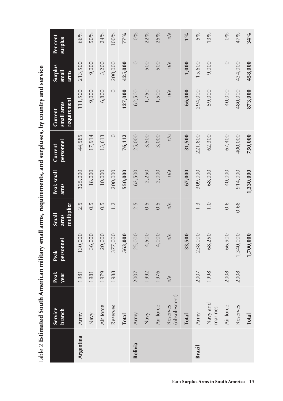| 5%<br>$0\%$<br>13%<br>47%<br>n/a<br>$1\%$                                                         | 25%       | 22%<br>$0\%$    | 77%          | 100%     | 24%       | 50%    | 66%       | Per cent<br>surplus                  |
|---------------------------------------------------------------------------------------------------|-----------|-----------------|--------------|----------|-----------|--------|-----------|--------------------------------------|
| 1,000<br>15,600<br>$\circ$<br>434,000<br>9,000<br>n/a                                             | 500       | $\circ$<br>500  | 425,000      | 200,000  | 3,200     | 9,000  | 213,500   | Surplus<br>small<br>arms             |
| 40,000<br>480,000<br>66,000<br>294,000<br>59,000<br>n/a                                           | 1,500     | 62,500<br>1,750 | 127,000      | $\circ$  | 6,800     | 9,000  | 111,500   | requirement<br>small arms<br>Current |
| 31,500<br>221,800<br>67,400<br>400,000<br>n/a<br>62,300                                           | 3,000     | 3,500<br>25,000 | 76,112       | $\circ$  | 13,613    | 17,914 | 44,585    | personnel<br>Current                 |
| 309,000<br>40,000<br>914,000<br>67,000<br>68,000<br>n/a                                           | 2,000     | 2,250<br>62,500 | 550,000      | 200,000  | 10,000    | 18,000 | 325,000   | Peak small<br>arms                   |
| $\overline{1}$ .<br>O<br>0.6<br>0.68<br>n/a<br>$\frac{1}{3}$                                      | 0.5       | 2.5<br>0.5      |              | 1.2      | 0.5       | 0.5    | 2.5       | multiplier<br>Small<br>arms          |
| 1,340,000<br>33,500<br>238,000<br>66,900<br>68,250<br>n/a                                         | 4,000     | 4,500<br>25,000 | 563,000      | 377,000  | 20,000    | 36,000 | 130,000   | personnel<br>Peak                    |
| 2008<br>2008<br>2007<br>1998<br>n/a                                                               | 1976      | 1992<br>2007    |              | 1988     | 1979      | 1981   | 1981      | Peak<br>year                         |
| (obsolescent)<br>Navy and<br>Air force<br>Reserves<br>Reserves<br>marines<br>Army<br><b>Total</b> | Air force | Army<br>Navy    | <b>Total</b> | Reserves | Air force | Navy   | Army      | Service<br>branch                    |
| Brazil                                                                                            |           | Bolivia         |              |          |           |        | Argentina |                                      |
| Karp Surplus Arms in South America 19                                                             |           |                 |              |          |           |        |           |                                      |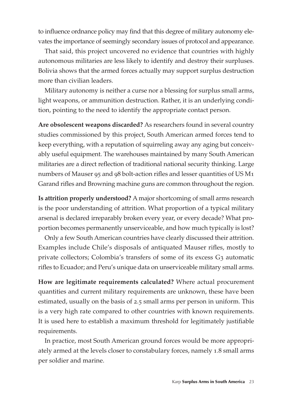to influence ordnance policy may find that this degree of military autonomy elevates the importance of seemingly secondary issues of protocol and appearance.

That said, this project uncovered no evidence that countries with highly autonomous militaries are less likely to identify and destroy their surpluses. Bolivia shows that the armed forces actually may support surplus destruction more than civilian leaders.

Military autonomy is neither a curse nor a blessing for surplus small arms, light weapons, or ammunition destruction. Rather, it is an underlying condition, pointing to the need to identify the appropriate contact person.

**Are obsolescent weapons discarded?** As researchers found in several country studies commissioned by this project, South American armed forces tend to keep everything, with a reputation of squirreling away any aging but conceivably useful equipment. The warehouses maintained by many South American militaries are a direct reflection of traditional national security thinking. Large numbers of Mauser 95 and 98 bolt-action rifles and lesser quantities of US M1 Garand rifles and Browning machine guns are common throughout the region.

**Is attrition properly understood?** A major shortcoming of small arms research is the poor understanding of attrition. What proportion of a typical military arsenal is declared irreparably broken every year, or every decade? What proportion becomes permanently unserviceable, and how much typically is lost?

Only a few South American countries have clearly discussed their attrition. Examples include Chile's disposals of antiquated Mauser rifles, mostly to private collectors; Colombia's transfers of some of its excess G3 automatic rifles to Ecuador; and Peru's unique data on unserviceable military small arms.

**How are legitimate requirements calculated?** Where actual procurement quantities and current military requirements are unknown, these have been estimated, usually on the basis of 2.5 small arms per person in uniform. This is a very high rate compared to other countries with known requirements. It is used here to establish a maximum threshold for legitimately justifiable requirements.

In practice, most South American ground forces would be more appropriately armed at the levels closer to constabulary forces, namely 1.8 small arms per soldier and marine.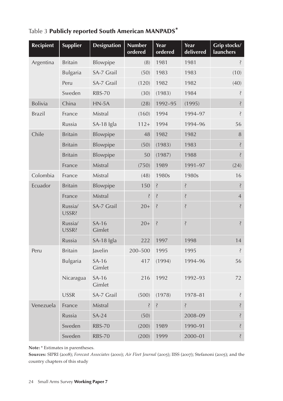| <b>Recipient</b> | <b>Supplier</b>  | <b>Designation</b> | <b>Number</b><br>ordered | Year<br>ordered    | Year<br>delivered  | Grip stocks/<br>launchers |
|------------------|------------------|--------------------|--------------------------|--------------------|--------------------|---------------------------|
| Argentina        | <b>Britain</b>   | Blowpipe           | (8)                      | 1981               | 1981               | Ŝ.                        |
|                  | Bulgaria         | SA-7 Grail         | (50)                     | 1983               | 1983               | (10)                      |
|                  | Peru             | SA-7 Grail         | (120)                    | 1982               | 1982               | (40)                      |
|                  | Sweden           | <b>RBS-70</b>      | (30)                     | (1983)             | 1984               | Ŝ                         |
| Bolivia          | China            | $HN-5A$            | (28)                     | 1992-95            | (1995)             | Ś.                        |
| <b>Brazil</b>    | France           | Mistral            | (160)                    | 1994               | 1994-97            | Ŝ                         |
|                  | Russia           | SA-18 Igla         | $112+$                   | 1994               | 1994-96            | 56                        |
| Chile            | <b>Britain</b>   | Blowpipe           | 48                       | 1982               | 1982               | 8                         |
|                  | <b>Britain</b>   | Blowpipe           | (50)                     | (1983)             | 1983               | ś,                        |
|                  | <b>Britain</b>   | Blowpipe           | 50                       | (1987)             | 1988               | Ş                         |
|                  | France           | Mistral            | (750)                    | 1989               | 1991-97            | (24)                      |
| Colombia         | France           | Mistral            | (48)                     | 1980s              | 1980s              | 16                        |
| Ecuador          | <b>Britain</b>   | Blowpipe           | 150                      | Ś.                 | Ś.                 | Ş                         |
|                  | France           | Mistral            | Ş                        | Ş                  | Ş                  | $\overline{4}$            |
|                  | Russia/<br>USSR? | SA-7 Grail         | $20+$                    | Ş                  | Ŝ.                 | ś.                        |
|                  | Russia/<br>USSR? | $SA-16$<br>Gimlet  | $20+$                    | $\dot{\mathbf{S}}$ | $\dot{\mathbf{S}}$ | Ş                         |
|                  | Russia           | SA-18 Igla         | 222                      | 1997               | 1998               | 14                        |
| Peru             | <b>Britain</b>   | Javelin            | 200-500                  | 1995               | 1995               | Ş                         |
|                  | Bulgaria         | $SA-16$<br>Gimlet  | 417                      | (1994)             | 1994-96            | 56                        |
|                  | Nicaragua        | $SA-16$<br>Gimlet  | 216                      | 1992               | 1992-93            | 72                        |
|                  | <b>USSR</b>      | SA-7 Grail         | (500)                    | (1978)             | 1978-81            | ś,                        |
| Venezuela        | France           | Mistral            | Ş                        | Ś.                 | Ş                  | ś,                        |
|                  | Russia           | $SA-24$            | (50)                     |                    | 2008-09            | ś,                        |
|                  | Sweden           | <b>RBS-70</b>      | (200)                    | 1989               | 1990-91            | Ś.                        |
|                  | Sweden           | <b>RBS-70</b>      | (200)                    | 1999               | 2000-01            | Ş                         |

Table 3 Publicly reported South American MANPADS\*

**Note:** \* Estimates in parentheses.

**Sources:** SIPRI (2008); *Forecast Associates* (2000); *Air Fleet Journal* (2005); IISS (2007); Stefanoni (2005); and the country chapters of this study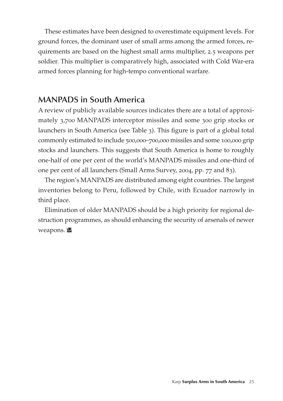These estimates have been designed to overestimate equipment levels. For ground forces, the dominant user of small arms among the armed forces, requirements are based on the highest small arms multiplier, 2.5 weapons per soldier. This multiplier is comparatively high, associated with Cold War-era armed forces planning for high-tempo conventional warfare.

### **MANPADS in South America**

A review of publicly available sources indicates there are a total of approximately 3,700 MANPADS interceptor missiles and some 300 grip stocks or launchers in South America (see Table 3). This figure is part of a global total commonly estimated to include 500,000–700,000 missiles and some 100,000 grip stocks and launchers. This suggests that South America is home to roughly one-half of one per cent of the world's MANPADS missiles and one-third of one per cent of all launchers (Small Arms Survey, 2004, pp. 77 and 83).

The region's MANPADS are distributed among eight countries. The largest inventories belong to Peru, followed by Chile, with Ecuador narrowly in third place.

Elimination of older MANPADS should be a high priority for regional destruction programmes, as should enhancing the security of arsenals of newer weapons.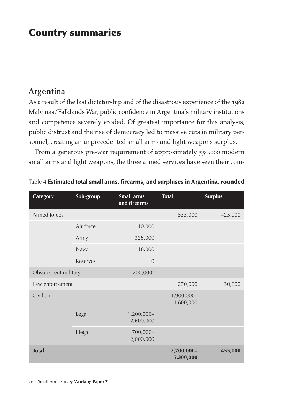# Country summaries

### **Argentina**

As a result of the last dictatorship and of the disastrous experience of the 1982 Malvinas/Falklands War, public confidence in Argentina's military institutions and competence severely eroded. Of greatest importance for this analysis, public distrust and the rise of democracy led to massive cuts in military personnel, creating an unprecedented small arms and light weapons surplus.

From a generous pre-war requirement of approximately 550,000 modern small arms and light weapons, the three armed services have seen their com-

| Category             | Sub-group | <b>Small arms</b><br>and firearms | <b>Total</b>            | <b>Surplus</b> |
|----------------------|-----------|-----------------------------------|-------------------------|----------------|
| Armed forces         |           |                                   | 555,000                 | 425,000        |
|                      | Air force | 10,000                            |                         |                |
|                      | Army      | 325,000                           |                         |                |
|                      | Navy      | 18,000                            |                         |                |
|                      | Reserves  | $\overline{0}$                    |                         |                |
| Obsolescent military |           | 200,000?                          |                         |                |
| Law enforcement      |           |                                   | 270,000                 | 30,000         |
| Civilian             |           |                                   | 1,900,000-<br>4,600,000 |                |
|                      | Legal     | 1,200,000-<br>2,600,000           |                         |                |
|                      | Illegal   | 700,000-<br>2,000,000             |                         |                |
| <b>Total</b>         |           |                                   | 2,700,000-<br>5,300,000 | 455,000        |

Table 4 Estimated total small arms, firearms, and surpluses in Argentina, rounded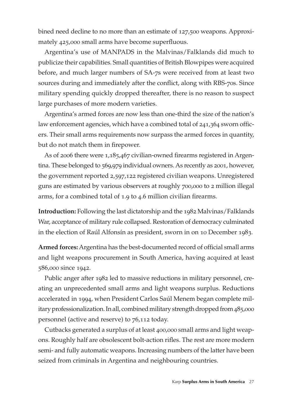bined need decline to no more than an estimate of 127,500 weapons. Approximately 425,000 small arms have become superfluous.

Argentina's use of MANPADS in the Malvinas/Falklands did much to publicize their capabilities. Small quantities of British Blowpipes were acquired before, and much larger numbers of SA-7s were received from at least two sources during and immediately after the conflict, along with RBS-70s. Since military spending quickly dropped thereafter, there is no reason to suspect large purchases of more modern varieties.

Argentina's armed forces are now less than one-third the size of the nation's law enforcement agencies, which have a combined total of 241,364 sworn officers. Their small arms requirements now surpass the armed forces in quantity, but do not match them in firepower.

As of 2006 there were 1,185,467 civilian-owned firearms registered in Argentina. These belonged to 569,979 individual owners. As recently as 2001, however, the government reported 2,597,122 registered civilian weapons. Unregistered guns are estimated by various observers at roughly 700,000 to 2 million illegal arms, for a combined total of 1.9 to 4.6 million civilian firearms.

**Introduction:** Following the last dictatorship and the 1982 Malvinas/Falklands War, acceptance of military rule collapsed. Restoration of democracy culminated in the election of Raúl Alfonsín as president, sworn in on 10 December 1983.

**Armed forces:** Argentina has the best-documented record of official small arms and light weapons procurement in South America, having acquired at least 586,000 since 1942.

Public anger after 1982 led to massive reductions in military personnel, creating an unprecedented small arms and light weapons surplus. Reductions accelerated in 1994, when President Carlos Saúl Menem began complete military professionalization. In all, combined military strength dropped from 485,000 personnel (active and reserve) to 76,112 today.

Cutbacks generated a surplus of at least 400,000 small arms and light weapons. Roughly half are obsolescent bolt-action rifles. The rest are more modern semi- and fully automatic weapons. Increasing numbers of the latter have been seized from criminals in Argentina and neighbouring countries.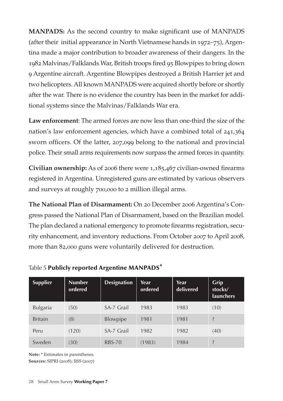**MANPADS:** As the second country to make significant use of MANPADS (after their initial appearance in North Vietnamese hands in 1972–75), Argentina made a major contribution to broader awareness of their dangers. In the 1982 Malvinas/Falklands War, British troops fired 95 Blowpipes to bring down 9 Argentine aircraft. Argentine Blowpipes destroyed a British Harrier jet and two helicopters. All known MANPADS were acquired shortly before or shortly after the war. There is no evidence the country has been in the market for additional systems since the Malvinas/Falklands War era.

**Law enforcement**: The armed forces are now less than one-third the size of the nation's law enforcement agencies, which have a combined total of 241,364 sworn officers. Of the latter, 207,099 belong to the national and provincial police. Their small arms requirements now surpass the armed forces in quantity.

**Civilian ownership:** As of 2006 there were 1,185,467 civilian-owned firearms registered in Argentina. Unregistered guns are estimated by various observers and surveys at roughly 700,000 to 2 million illegal arms.

**The National Plan of Disarmament:** On 20 December 2006 Argentina's Congress passed the National Plan of Disarmament, based on the Brazilian model. The plan declared a national emergency to promote firearms registration, security enhancement, and inventory reductions. From October 2007 to April 2008, more than 82,000 guns were voluntarily delivered for destruction.

| <b>Supplier</b> | <b>Number</b><br>ordered | <b>Designation</b> | Year<br>ordered | Year<br>delivered | Grip<br>stocks/<br><b>launchers</b> |
|-----------------|--------------------------|--------------------|-----------------|-------------------|-------------------------------------|
| Bulgaria        | (50)                     | SA-7 Grail         | 1983            | 1983              | (10)                                |
| <b>Britain</b>  | (8)                      | Blowpipe           | 1981            | 1981              | Ş                                   |
| Peru            | (120)                    | SA-7 Grail         | 1982            | 1982              | (40)                                |
| Sweden          | (30)                     | <b>RBS-70</b>      | (1983)          | 1984              |                                     |

Table 5 Publicly reported Argentine MANPADS\*

**Note:** \* Estimates in parentheses. **Sources:** SIPRI (2008); IISS (2007)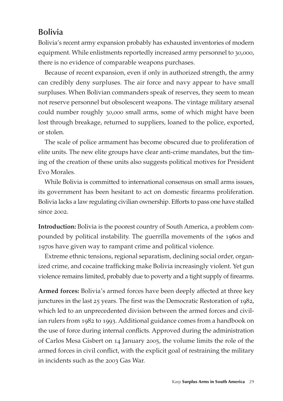## **Bolivia**

Bolivia's recent army expansion probably has exhausted inventories of modern equipment. While enlistments reportedly increased army personnel to 30,000, there is no evidence of comparable weapons purchases.

Because of recent expansion, even if only in authorized strength, the army can credibly deny surpluses. The air force and navy appear to have small surpluses. When Bolivian commanders speak of reserves, they seem to mean not reserve personnel but obsolescent weapons. The vintage military arsenal could number roughly 30,000 small arms, some of which might have been lost through breakage, returned to suppliers, loaned to the police, exported, or stolen.

The scale of police armament has become obscured due to proliferation of elite units. The new elite groups have clear anti-crime mandates, but the timing of the creation of these units also suggests political motives for President Evo Morales.

While Bolivia is committed to international consensus on small arms issues, its government has been hesitant to act on domestic firearms proliferation. Bolivia lacks a law regulating civilian ownership. Efforts to pass one have stalled since 2002.

**Introduction:** Bolivia is the poorest country of South America, a problem compounded by political instability. The guerrilla movements of the 1960s and 1970s have given way to rampant crime and political violence.

Extreme ethnic tensions, regional separatism, declining social order, organized crime, and cocaine trafficking make Bolivia increasingly violent. Yet gun violence remains limited, probably due to poverty and a tight supply of firearms.

**Armed forces:** Bolivia's armed forces have been deeply affected at three key junctures in the last 25 years. The first was the Democratic Restoration of 1982, which led to an unprecedented division between the armed forces and civilian rulers from 1982 to 1993. Additional guidance comes from a handbook on the use of force during internal conflicts. Approved during the administration of Carlos Mesa Gisbert on 14 January 2005, the volume limits the role of the armed forces in civil conflict, with the explicit goal of restraining the military in incidents such as the 2003 Gas War.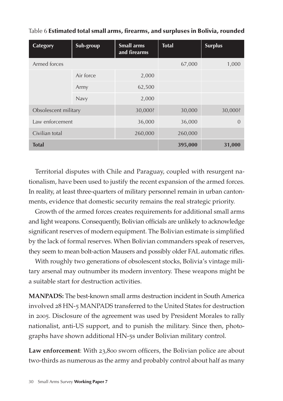| Category             | Sub-group | <b>Small arms</b><br>and firearms | <b>Total</b> | <b>Surplus</b> |
|----------------------|-----------|-----------------------------------|--------------|----------------|
| Armed forces         |           |                                   | 67,000       | 1,000          |
|                      | Air force | 2,000                             |              |                |
|                      | Army      | 62,500                            |              |                |
|                      | Navy      | 2,000                             |              |                |
| Obsolescent military |           | 30,000?                           | 30,000       | 30,000?        |
| Law enforcement      |           | 36,000                            | 36,000       | $\Omega$       |
| Civilian total       |           | 260,000                           | 260,000      |                |
| <b>Total</b>         |           |                                   | 395,000      | 31,000         |

#### Table 6 Estimated total small arms, firearms, and surpluses in Bolivia, rounded

Territorial disputes with Chile and Paraguay, coupled with resurgent nationalism, have been used to justify the recent expansion of the armed forces. In reality, at least three-quarters of military personnel remain in urban cantonments, evidence that domestic security remains the real strategic priority.

Growth of the armed forces creates requirements for additional small arms and light weapons. Consequently, Bolivian officials are unlikely to acknowledge significant reserves of modern equipment. The Bolivian estimate is simplified by the lack of formal reserves. When Bolivian commanders speak of reserves, they seem to mean bolt-action Mausers and possibly older FAL automatic rifles.

With roughly two generations of obsolescent stocks, Bolivia's vintage military arsenal may outnumber its modern inventory. These weapons might be a suitable start for destruction activities.

**MANPADS:** The best-known small arms destruction incident in South America involved 28 HN-5 MANPADS transferred to the United States for destruction in 2005. Disclosure of the agreement was used by President Morales to rally nationalist, anti-US support, and to punish the military. Since then, photographs have shown additional HN-5s under Bolivian military control.

Law enforcement: With 23,800 sworn officers, the Bolivian police are about two-thirds as numerous as the army and probably control about half as many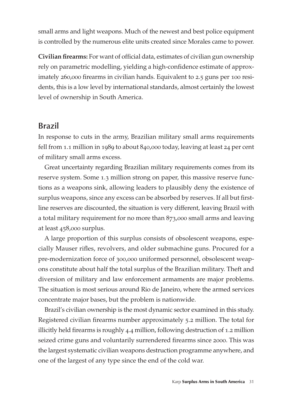small arms and light weapons. Much of the newest and best police equipment is controlled by the numerous elite units created since Morales came to power.

**Civilian firearms:** For want of official data, estimates of civilian gun ownership rely on parametric modelling, yielding a high-confidence estimate of approximately 260,000 firearms in civilian hands. Equivalent to 2.5 guns per 100 residents, this is a low level by international standards, almost certainly the lowest level of ownership in South America.

### **Brazil**

In response to cuts in the army, Brazilian military small arms requirements fell from 1.1 million in 1989 to about 840,000 today, leaving at least 24 per cent of military small arms excess.

Great uncertainty regarding Brazilian military requirements comes from its reserve system. Some 1.3 million strong on paper, this massive reserve functions as a weapons sink, allowing leaders to plausibly deny the existence of surplus weapons, since any excess can be absorbed by reserves. If all but firstline reserves are discounted, the situation is very different, leaving Brazil with a total military requirement for no more than 873,000 small arms and leaving at least 458,000 surplus.

A large proportion of this surplus consists of obsolescent weapons, especially Mauser rifles, revolvers, and older submachine guns. Procured for a pre-modernization force of 300,000 uniformed personnel, obsolescent weapons constitute about half the total surplus of the Brazilian military. Theft and diversion of military and law enforcement armaments are major problems. The situation is most serious around Rio de Janeiro, where the armed services concentrate major bases, but the problem is nationwide.

Brazil's civilian ownership is the most dynamic sector examined in this study. Registered civilian firearms number approximately 5.2 million. The total for illicitly held firearms is roughly 4.4 million, following destruction of 1.2 million seized crime guns and voluntarily surrendered firearms since 2000. This was the largest systematic civilian weapons destruction programme anywhere, and one of the largest of any type since the end of the cold war.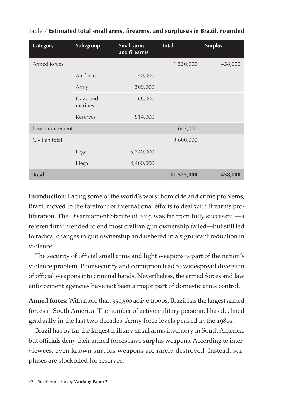| Category        | Sub-group           | <b>Small arms</b><br>and firearms | <b>Total</b> | <b>Surplus</b> |
|-----------------|---------------------|-----------------------------------|--------------|----------------|
| Armed forces    |                     |                                   | 1,330,000    | 458,000        |
|                 | Air force           | 40,000                            |              |                |
|                 | Army                | 309,000                           |              |                |
|                 | Navy and<br>marines | 68,000                            |              |                |
|                 | Reserves            | 914,000                           |              |                |
| Law enforcement |                     |                                   | 643,000      |                |
| Civilian total  |                     |                                   | 9,600,000    |                |
|                 | Legal               | 5,240,000                         |              |                |
|                 | Illegal             | 4,400,000                         |              |                |
| <b>Total</b>    |                     |                                   | 11,575,000   | 458,000        |

|  | Table 7 Estimated total small arms, firearms, and surpluses in Brazil, rounded |  |  |  |  |  |
|--|--------------------------------------------------------------------------------|--|--|--|--|--|
|--|--------------------------------------------------------------------------------|--|--|--|--|--|

**Introduction:** Facing some of the world's worst homicide and crime problems, Brazil moved to the forefront of international efforts to deal with firearms proliferation. The Disarmament Statute of 2003 was far from fully successful—a referendum intended to end most civilian gun ownership failed—but still led to radical changes in gun ownership and ushered in a significant reduction in violence.

The security of official small arms and light weapons is part of the nation's violence problem. Poor security and corruption lead to widespread diversion of official weapons into criminal hands. Nevertheless, the armed forces and law enforcement agencies have not been a major part of domestic arms control.

**Armed forces:** With more than 351,500 active troops, Brazil has the largest armed forces in South America. The number of active military personnel has declined gradually in the last two decades. Army force levels peaked in the 1980s.

Brazil has by far the largest military small arms inventory in South America, but officials deny their armed forces have surplus weapons. According to interviewees, even known surplus weapons are rarely destroyed. Instead, surpluses are stockpiled for reserves.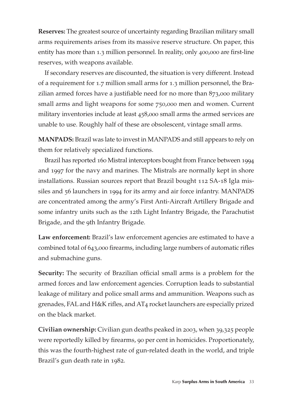**Reserves:** The greatest source of uncertainty regarding Brazilian military small arms requirements arises from its massive reserve structure. On paper, this entity has more than 1.3 million personnel. In reality, only 400,000 are first-line reserves, with weapons available.

If secondary reserves are discounted, the situation is very different. Instead of a requirement for 1.7 million small arms for 1.3 million personnel, the Brazilian armed forces have a justifiable need for no more than 873,000 military small arms and light weapons for some 750,000 men and women. Current military inventories include at least 458,000 small arms the armed services are unable to use. Roughly half of these are obsolescent, vintage small arms.

**MANPADS:** Brazil was late to invest in MANPADS and still appears to rely on them for relatively specialized functions.

Brazil has reported 160 Mistral interceptors bought from France between 1994 and 1997 for the navy and marines. The Mistrals are normally kept in shore installations. Russian sources report that Brazil bought 112 SA-18 Igla missiles and 56 launchers in 1994 for its army and air force infantry. MANPADS are concentrated among the army's First Anti-Aircraft Artillery Brigade and some infantry units such as the 12th Light Infantry Brigade, the Parachutist Brigade, and the 9th Infantry Brigade.

**Law enforcement:** Brazil's law enforcement agencies are estimated to have a combined total of 643,000 firearms, including large numbers of automatic rifles and submachine guns.

**Security:** The security of Brazilian official small arms is a problem for the armed forces and law enforcement agencies. Corruption leads to substantial leakage of military and police small arms and ammunition. Weapons such as grenades, FAL and H&K rifles, and AT4 rocket launchers are especially prized on the black market.

**Civilian ownership:** Civilian gun deaths peaked in 2003, when 39,325 people were reportedly killed by firearms, 90 per cent in homicides. Proportionately, this was the fourth-highest rate of gun-related death in the world, and triple Brazil's gun death rate in 1982.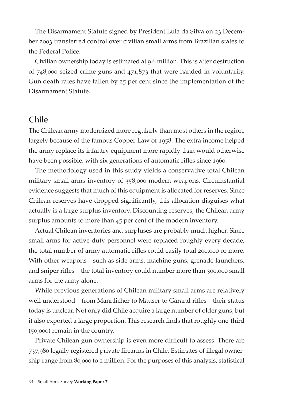The Disarmament Statute signed by President Lula da Silva on 23 December 2003 transferred control over civilian small arms from Brazilian states to the Federal Police.

Civilian ownership today is estimated at 9.6 million. This is after destruction of 748,000 seized crime guns and 471,873 that were handed in voluntarily. Gun death rates have fallen by 25 per cent since the implementation of the Disarmament Statute.

### **Chile**

The Chilean army modernized more regularly than most others in the region, largely because of the famous Copper Law of 1958. The extra income helped the army replace its infantry equipment more rapidly than would otherwise have been possible, with six generations of automatic rifles since 1960.

The methodology used in this study yields a conservative total Chilean military small arms inventory of 358,000 modern weapons. Circumstantial evidence suggests that much of this equipment is allocated for reserves. Since Chilean reserves have dropped significantly, this allocation disguises what actually is a large surplus inventory. Discounting reserves, the Chilean army surplus amounts to more than 45 per cent of the modern inventory.

Actual Chilean inventories and surpluses are probably much higher. Since small arms for active-duty personnel were replaced roughly every decade, the total number of army automatic rifles could easily total 200,000 or more. With other weapons—such as side arms, machine guns, grenade launchers, and sniper rifles—the total inventory could number more than 300,000 small arms for the army alone.

While previous generations of Chilean military small arms are relatively well understood—from Mannlicher to Mauser to Garand rifles—their status today is unclear. Not only did Chile acquire a large number of older guns, but it also exported a large proportion. This research finds that roughly one-third (50,000) remain in the country.

Private Chilean gun ownership is even more difficult to assess. There are 737,980 legally registered private firearms in Chile. Estimates of illegal ownership range from 80,000 to 2 million. For the purposes of this analysis, statistical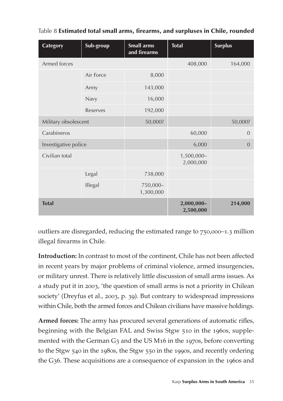| Category             | Sub-group | Small arms<br>and firearms | <b>Total</b>            | <b>Surplus</b> |
|----------------------|-----------|----------------------------|-------------------------|----------------|
| Armed forces         |           |                            | 408,000                 | 164,000        |
|                      | Air Force | 8,000                      |                         |                |
|                      | Army      | 143,000                    |                         |                |
|                      | Navy      | 16,000                     |                         |                |
|                      | Reserves  | 192,000                    |                         |                |
| Military obsolescent | 50,000?   |                            |                         | 50,000?        |
| Carabineros          |           |                            | 60,000                  | $\overline{0}$ |
| Investigative police |           |                            | 6,000                   | $\overline{0}$ |
| Civilian total       |           |                            | 1,500,000-<br>2,000,000 |                |
|                      | Legal     | 738,000                    |                         |                |
|                      | Illegal   | 750,000-<br>1,300,000      |                         |                |
| <b>Total</b>         |           |                            | 2,000,000-<br>2,500,000 | 214,000        |

#### Table 8 Estimated total small arms, firearms, and surpluses in Chile, rounded

outliers are disregarded, reducing the estimated range to 750,000–1.3 million illegal firearms in Chile.

**Introduction:** In contrast to most of the continent, Chile has not been affected in recent years by major problems of criminal violence, armed insurgencies, or military unrest. There is relatively little discussion of small arms issues. As a study put it in 2003, 'the question of small arms is not a priority in Chilean society' (Dreyfus et al., 2003, p. 39). But contrary to widespread impressions within Chile, both the armed forces and Chilean civilians have massive holdings.

**Armed forces:** The army has procured several generations of automatic rifles, beginning with the Belgian FAL and Swiss Stgw 510 in the 1960s, supplemented with the German  $G_3$  and the US M<sub>16</sub> in the 1970s, before converting to the Stgw 540 in the 1980s, the Stgw 550 in the 1990s, and recently ordering the G36. These acquisitions are a consequence of expansion in the 1960s and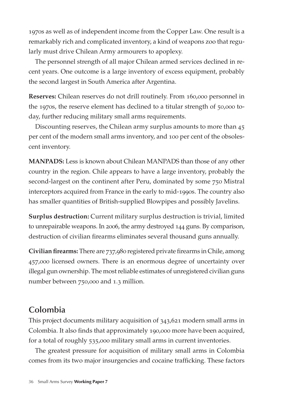1970s as well as of independent income from the Copper Law. One result is a remarkably rich and complicated inventory, a kind of weapons zoo that regularly must drive Chilean Army armourers to apoplexy.

The personnel strength of all major Chilean armed services declined in recent years. One outcome is a large inventory of excess equipment, probably the second largest in South America after Argentina.

**Reserves:** Chilean reserves do not drill routinely. From 160,000 personnel in the 1970s, the reserve element has declined to a titular strength of 50,000 today, further reducing military small arms requirements.

Discounting reserves, the Chilean army surplus amounts to more than 45 per cent of the modern small arms inventory, and 100 per cent of the obsolescent inventory.

**MANPADS:** Less is known about Chilean MANPADS than those of any other country in the region. Chile appears to have a large inventory, probably the second-largest on the continent after Peru, dominated by some 750 Mistral interceptors acquired from France in the early to mid-1990s. The country also has smaller quantities of British-supplied Blowpipes and possibly Javelins.

**Surplus destruction:** Current military surplus destruction is trivial, limited to unrepairable weapons. In 2006, the army destroyed 144 guns. By comparison, destruction of civilian firearms eliminates several thousand guns annually.

**Civilian firearms:** There are 737,980 registered private firearms in Chile, among 457,000 licensed owners. There is an enormous degree of uncertainty over illegal gun ownership. The most reliable estimates of unregistered civilian guns number between 750,000 and 1.3 million.

### **Colombia**

This project documents military acquisition of 343,621 modern small arms in Colombia. It also finds that approximately 190,000 more have been acquired, for a total of roughly 535,000 military small arms in current inventories.

The greatest pressure for acquisition of military small arms in Colombia comes from its two major insurgencies and cocaine trafficking. These factors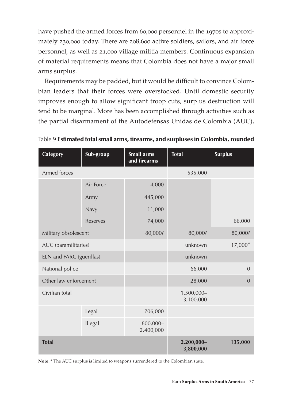have pushed the armed forces from 60,000 personnel in the 1970s to approximately 230,000 today. There are 208,600 active soldiers, sailors, and air force personnel, as well as 21,000 village militia members. Continuous expansion of material requirements means that Colombia does not have a major small arms surplus.

Requirements may be padded, but it would be difficult to convince Colombian leaders that their forces were overstocked. Until domestic security improves enough to allow significant troop cuts, surplus destruction will tend to be marginal. More has been accomplished through activities such as the partial disarmament of the Autodefensas Unidas de Colombia (AUC),

| Category              | Sub-group                | <b>Small arms</b><br>and firearms | <b>Total</b>            | <b>Surplus</b> |
|-----------------------|--------------------------|-----------------------------------|-------------------------|----------------|
| Armed forces          |                          |                                   | 535,000                 |                |
|                       | Air Force                | 4,000                             |                         |                |
|                       | Army                     | 445,000                           |                         |                |
|                       | Navy                     | 11,000                            |                         |                |
|                       | Reserves                 | 74,000                            |                         | 66,000         |
| Military obsolescent  |                          | 80,000?                           | 80,000?                 | 80,000?        |
| AUC (paramilitaries)  |                          |                                   | unknown                 | 17,000*        |
|                       | ELN and FARC (guerillas) |                                   | unknown                 |                |
| National police       |                          |                                   | 66,000                  | $\overline{0}$ |
| Other law enforcement |                          |                                   | 28,000                  | $\overline{0}$ |
| Civilian total        |                          |                                   | 1,500,000-<br>3,100,000 |                |
|                       | Legal                    | 706,000                           |                         |                |
|                       | Illegal                  | 800,000-<br>2,400,000             |                         |                |
| <b>Total</b>          |                          |                                   | 2,200,000-<br>3,800,000 | 135,000        |

Table 9 Estimated total small arms, firearms, and surpluses in Colombia, rounded

**Note:** \* The AUC surplus is limited to weapons surrendered to the Colombian state.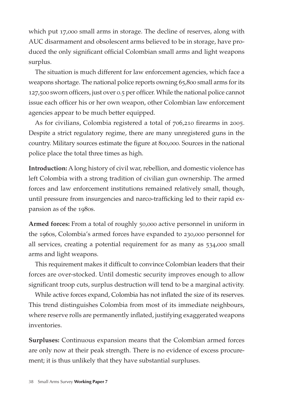which put 17,000 small arms in storage. The decline of reserves, along with AUC disarmament and obsolescent arms believed to be in storage, have produced the only significant official Colombian small arms and light weapons surplus.

The situation is much different for law enforcement agencies, which face a weapons shortage. The national police reports owning 65,800 small arms for its 127,500 sworn officers, just over 0.5 per officer. While the national police cannot issue each officer his or her own weapon, other Colombian law enforcement agencies appear to be much better equipped.

As for civilians, Colombia registered a total of 706,210 firearms in 2005. Despite a strict regulatory regime, there are many unregistered guns in the country. Military sources estimate the figure at 800,000. Sources in the national police place the total three times as high.

**Introduction:** A long history of civil war, rebellion, and domestic violence has left Colombia with a strong tradition of civilian gun ownership. The armed forces and law enforcement institutions remained relatively small, though, until pressure from insurgencies and narco-trafficking led to their rapid expansion as of the 1980s.

**Armed forces:** From a total of roughly 50,000 active personnel in uniform in the 1960s, Colombia's armed forces have expanded to 230,000 personnel for all services, creating a potential requirement for as many as 534,000 small arms and light weapons.

This requirement makes it difficult to convince Colombian leaders that their forces are over-stocked. Until domestic security improves enough to allow significant troop cuts, surplus destruction will tend to be a marginal activity.

While active forces expand, Colombia has not inflated the size of its reserves. This trend distinguishes Colombia from most of its immediate neighbours, where reserve rolls are permanently inflated, justifying exaggerated weapons inventories.

**Surpluses:** Continuous expansion means that the Colombian armed forces are only now at their peak strength. There is no evidence of excess procurement; it is thus unlikely that they have substantial surpluses.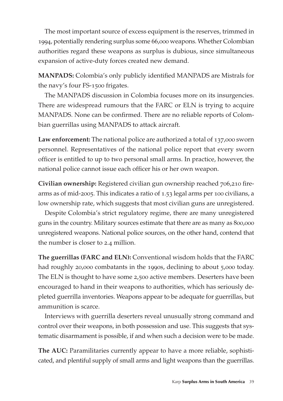The most important source of excess equipment is the reserves, trimmed in 1994, potentially rendering surplus some 66,000 weapons. Whether Colombian authorities regard these weapons as surplus is dubious, since simultaneous expansion of active-duty forces created new demand.

**MANPADS:** Colombia's only publicly identified MANPADS are Mistrals for the navy's four FS-1500 frigates.

The MANPADS discussion in Colombia focuses more on its insurgencies. There are widespread rumours that the FARC or ELN is trying to acquire MANPADS. None can be confirmed. There are no reliable reports of Colombian guerrillas using MANPADS to attack aircraft.

Law enforcement: The national police are authorized a total of 137,000 sworn personnel. Representatives of the national police report that every sworn officer is entitled to up to two personal small arms. In practice, however, the national police cannot issue each officer his or her own weapon.

**Civilian ownership:** Registered civilian gun ownership reached 706,210 firearms as of mid-2005. This indicates a ratio of 1.53 legal arms per 100 civilians, a low ownership rate, which suggests that most civilian guns are unregistered.

Despite Colombia's strict regulatory regime, there are many unregistered guns in the country. Military sources estimate that there are as many as 800,000 unregistered weapons. National police sources, on the other hand, contend that the number is closer to 2.4 million.

**The guerrillas (FARC and ELN):** Conventional wisdom holds that the FARC had roughly 20,000 combatants in the 1990s, declining to about 5,000 today. The ELN is thought to have some 2,500 active members. Deserters have been encouraged to hand in their weapons to authorities, which has seriously depleted guerrilla inventories. Weapons appear to be adequate for guerrillas, but ammunition is scarce.

Interviews with guerrilla deserters reveal unusually strong command and control over their weapons, in both possession and use. This suggests that systematic disarmament is possible, if and when such a decision were to be made.

The AUC: Paramilitaries currently appear to have a more reliable, sophisticated, and plentiful supply of small arms and light weapons than the guerrillas.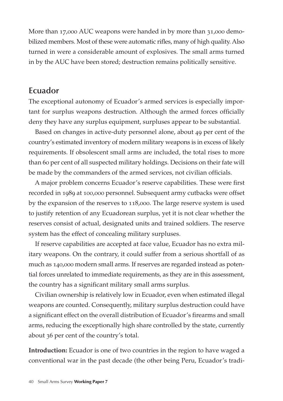More than 17,000 AUC weapons were handed in by more than 31,000 demobilized members. Most of these were automatic rifles, many of high quality. Also turned in were a considerable amount of explosives. The small arms turned in by the AUC have been stored; destruction remains politically sensitive.

### **Ecuador**

The exceptional autonomy of Ecuador's armed services is especially important for surplus weapons destruction. Although the armed forces officially deny they have any surplus equipment, surpluses appear to be substantial.

Based on changes in active-duty personnel alone, about 49 per cent of the country's estimated inventory of modern military weapons is in excess of likely requirements. If obsolescent small arms are included, the total rises to more than 60 per cent of all suspected military holdings. Decisions on their fate will be made by the commanders of the armed services, not civilian officials.

A major problem concerns Ecuador's reserve capabilities. These were first recorded in 1989 at 100,000 personnel. Subsequent army cutbacks were offset by the expansion of the reserves to 118,000. The large reserve system is used to justify retention of any Ecuadorean surplus, yet it is not clear whether the reserves consist of actual, designated units and trained soldiers. The reserve system has the effect of concealing military surpluses.

If reserve capabilities are accepted at face value, Ecuador has no extra military weapons. On the contrary, it could suffer from a serious shortfall of as much as 140,000 modern small arms. If reserves are regarded instead as potential forces unrelated to immediate requirements, as they are in this assessment, the country has a significant military small arms surplus.

Civilian ownership is relatively low in Ecuador, even when estimated illegal weapons are counted. Consequently, military surplus destruction could have a significant effect on the overall distribution of Ecuador's firearms and small arms, reducing the exceptionally high share controlled by the state, currently about 36 per cent of the country's total.

**Introduction:** Ecuador is one of two countries in the region to have waged a conventional war in the past decade (the other being Peru, Ecuador's tradi-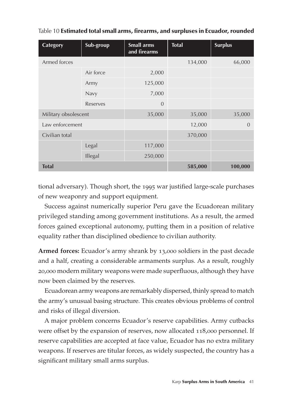| Category             | Sub-group | <b>Small arms</b><br>and firearms | <b>Total</b> | <b>Surplus</b> |
|----------------------|-----------|-----------------------------------|--------------|----------------|
| Armed forces         |           |                                   | 134,000      | 66,000         |
|                      | Air force | 2,000                             |              |                |
|                      | Army      | 125,000                           |              |                |
|                      | Navy      | 7,000                             |              |                |
|                      | Reserves  | $\overline{0}$                    |              |                |
| Military obsolescent |           | 35,000                            | 35,000       | 35,000         |
| Law enforcement      |           |                                   | 12,000       | $\Omega$       |
| Civilian total       |           |                                   | 370,000      |                |
|                      | Legal     | 117,000                           |              |                |
|                      | Illegal   | 250,000                           |              |                |
| <b>Total</b>         |           |                                   | 585,000      | 100,000        |

#### Table 10 Estimated total small arms, firearms, and surpluses in Ecuador, rounded

tional adversary). Though short, the 1995 war justified large-scale purchases of new weaponry and support equipment.

Success against numerically superior Peru gave the Ecuadorean military privileged standing among government institutions. As a result, the armed forces gained exceptional autonomy, putting them in a position of relative equality rather than disciplined obedience to civilian authority.

**Armed forces:** Ecuador's army shrank by 13,000 soldiers in the past decade and a half, creating a considerable armaments surplus. As a result, roughly 20,000 modern military weapons were made superfluous, although they have now been claimed by the reserves.

Ecuadorean army weapons are remarkably dispersed, thinly spread to match the army's unusual basing structure. This creates obvious problems of control and risks of illegal diversion.

A major problem concerns Ecuador's reserve capabilities. Army cutbacks were offset by the expansion of reserves, now allocated 118,000 personnel. If reserve capabilities are accepted at face value, Ecuador has no extra military weapons. If reserves are titular forces, as widely suspected, the country has a significant military small arms surplus.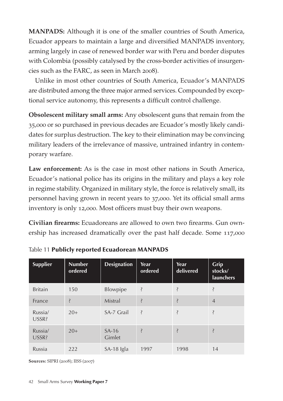**MANPADS:** Although it is one of the smaller countries of South America, Ecuador appears to maintain a large and diversified MANPADS inventory, arming largely in case of renewed border war with Peru and border disputes with Colombia (possibly catalysed by the cross-border activities of insurgencies such as the FARC, as seen in March 2008).

Unlike in most other countries of South America, Ecuador's MANPADS are distributed among the three major armed services. Compounded by exceptional service autonomy, this represents a difficult control challenge.

**Obsolescent military small arms:** Any obsolescent guns that remain from the 35,000 or so purchased in previous decades are Ecuador's mostly likely candidates for surplus destruction. The key to their elimination may be convincing military leaders of the irrelevance of massive, untrained infantry in contemporary warfare.

**Law enforcement:** As is the case in most other nations in South America, Ecuador's national police has its origins in the military and plays a key role in regime stability. Organized in military style, the force is relatively small, its personnel having grown in recent years to 37,000. Yet its official small arms inventory is only 12,000. Most officers must buy their own weapons.

**Civilian firearms:** Ecuadoreans are allowed to own two firearms. Gun ownership has increased dramatically over the past half decade. Some 117,000

| <b>Supplier</b>  | <b>Number</b><br>ordered | <b>Designation</b> | Year<br>ordered | Year<br>delivered        | <b>Grip</b><br>stocks/<br><b>launchers</b> |
|------------------|--------------------------|--------------------|-----------------|--------------------------|--------------------------------------------|
| <b>Britain</b>   | 150                      | <b>Blowpipe</b>    | Ş               | Ş                        | Ş                                          |
| France           | Ş                        | Mistral            | Ş               | $\overline{\mathcal{E}}$ | $\overline{4}$                             |
| Russia/<br>USSR? | $20+$                    | SA-7 Grail         | Ŝ               | Ş                        | Ş                                          |
| Russia/<br>USSR? | $20+$                    | $SA-16$<br>Gimlet  | Ş               | $\ddot{\cdot}$           | Ş                                          |
| Russia           | 222                      | SA-18 Igla         | 1997            | 1998                     | 14                                         |

Table 11 Publicly reported Ecuadorean MANPADS

**Sources:** SIPRI (2008); IISS (2007)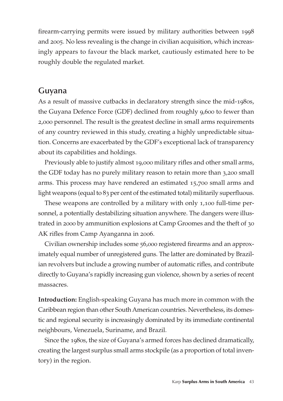firearm-carrying permits were issued by military authorities between 1998 and 2005. No less revealing is the change in civilian acquisition, which increasingly appears to favour the black market, cautiously estimated here to be roughly double the regulated market.

### **Guyana**

As a result of massive cutbacks in declaratory strength since the mid-1980s, the Guyana Defence Force (GDF) declined from roughly 9,600 to fewer than 2,000 personnel. The result is the greatest decline in small arms requirements of any country reviewed in this study, creating a highly unpredictable situation. Concerns are exacerbated by the GDF's exceptional lack of transparency about its capabilities and holdings.

Previously able to justify almost 19,000 military rifles and other small arms, the GDF today has no purely military reason to retain more than 3,200 small arms. This process may have rendered an estimated 15,700 small arms and light weapons (equal to 83 per cent of the estimated total) militarily superfluous.

These weapons are controlled by a military with only 1,100 full-time personnel, a potentially destabilizing situation anywhere. The dangers were illustrated in 2000 by ammunition explosions at Camp Groomes and the theft of 30 AK rifles from Camp Ayanganna in 2006.

Civilian ownership includes some 56,000 registered firearms and an approximately equal number of unregistered guns. The latter are dominated by Brazilian revolvers but include a growing number of automatic rifles, and contribute directly to Guyana's rapidly increasing gun violence, shown by a series of recent massacres.

**Introduction:** English-speaking Guyana has much more in common with the Caribbean region than other South American countries. Nevertheless, its domestic and regional security is increasingly dominated by its immediate continental neighbours, Venezuela, Suriname, and Brazil.

Since the 1980s, the size of Guyana's armed forces has declined dramatically, creating the largest surplus small arms stockpile (as a proportion of total inventory) in the region.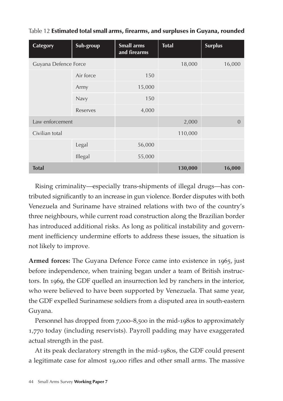| <b>Category</b>      | Sub-group | <b>Small arms</b><br>and firearms | <b>Total</b> | <b>Surplus</b> |
|----------------------|-----------|-----------------------------------|--------------|----------------|
| Guyana Defence Force |           |                                   | 18,000       | 16,000         |
|                      | Air force | 150                               |              |                |
|                      | Army      | 15,000                            |              |                |
|                      | Navy      | 150                               |              |                |
|                      | Reserves  | 4,000                             |              |                |
| Law enforcement      |           |                                   | 2,000        | $\overline{0}$ |
| Civilian total       |           |                                   | 110,000      |                |
|                      | Legal     | 56,000                            |              |                |
|                      | Illegal   | 55,000                            |              |                |
| <b>Total</b>         |           |                                   | 130,000      | 16,000         |

Table 12 Estimated total small arms, firearms, and surpluses in Guyana, rounded

Rising criminality—especially trans-shipments of illegal drugs—has contributed significantly to an increase in gun violence. Border disputes with both Venezuela and Suriname have strained relations with two of the country's three neighbours, while current road construction along the Brazilian border has introduced additional risks. As long as political instability and government inefficiency undermine efforts to address these issues, the situation is not likely to improve.

**Armed forces:** The Guyana Defence Force came into existence in 1965, just before independence, when training began under a team of British instructors. In 1969, the GDF quelled an insurrection led by ranchers in the interior, who were believed to have been supported by Venezuela. That same year, the GDF expelled Surinamese soldiers from a disputed area in south-eastern Guyana.

Personnel has dropped from 7,000–8,500 in the mid-1980s to approximately 1,770 today (including reservists). Payroll padding may have exaggerated actual strength in the past.

At its peak declaratory strength in the mid-1980s, the GDF could present a legitimate case for almost 19,000 rifles and other small arms. The massive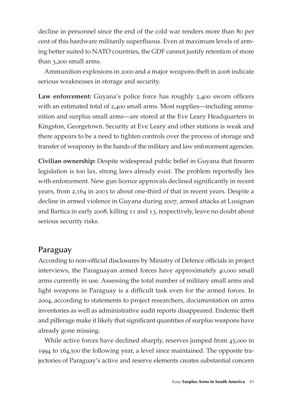decline in personnel since the end of the cold war renders more than 80 per cent of this hardware militarily superfluous. Even at maximum levels of arming better suited to NATO countries, the GDF cannot justify retention of more than 3,200 small arms.

Ammunition explosions in 2000 and a major weapons theft in 2006 indicate serious weaknesses in storage and security.

**Law enforcement:** Guyana's police force has roughly 2,400 sworn officers with an estimated total of 2,400 small arms. Most supplies—including ammunition and surplus small arms—are stored at the Eve Leary Headquarters in Kingston, Georgetown. Security at Eve Leary and other stations is weak and there appears to be a need to tighten controls over the process of storage and transfer of weaponry in the hands of the military and law enforcement agencies.

**Civilian ownership:** Despite widespread public belief in Guyana that firearm legislation is too lax, strong laws already exist. The problem reportedly lies with enforcement. New gun licence approvals declined significantly in recent years, from 2,164 in 2003 to about one-third of that in recent years. Despite a decline in armed violence in Guyana during 2007, armed attacks at Lusignan and Bartica in early 2008, killing 11 and 13, respectively, leave no doubt about serious security risks.

### **Paraguay**

According to non-official disclosures by Ministry of Defence officials in project interviews, the Paraguayan armed forces have approximately 40,000 small arms currently in use. Assessing the total number of military small arms and light weapons in Paraguay is a difficult task even for the armed forces. In 2004, according to statements to project researchers, documentation on arms inventories as well as administrative audit reports disappeared. Endemic theft and pilferage make it likely that significant quantities of surplus weapons have already gone missing.

While active forces have declined sharply, reserves jumped from 45,000 in 1994 to 164,500 the following year, a level since maintained. The opposite trajectories of Paraguay's active and reserve elements creates substantial concern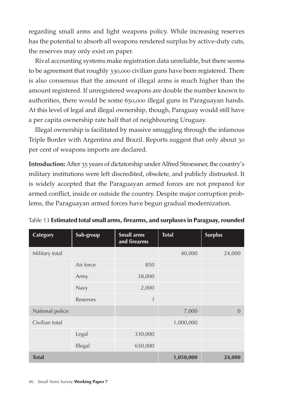regarding small arms and light weapons policy. While increasing reserves has the potential to absorb all weapons rendered surplus by active-duty cuts, the reserves may only exist on paper.

Rival accounting systems make registration data unreliable, but there seems to be agreement that roughly 330,000 civilian guns have been registered. There is also consensus that the amount of illegal arms is much higher than the amount registered. If unregistered weapons are double the number known to authorities, there would be some 650,000 illegal guns in Paraguayan hands. At this level of legal and illegal ownership, though, Paraguay would still have a per capita ownership rate half that of neighbouring Uruguay.

Illegal ownership is facilitated by massive smuggling through the infamous Triple Border with Argentina and Brazil. Reports suggest that only about 30 per cent of weapons imports are declared.

**Introduction:** After 35 years of dictatorship under Alfred Stroessner, the country's military institutions were left discredited, obsolete, and publicly distrusted. It is widely accepted that the Paraguayan armed forces are not prepared for armed conflict, inside or outside the country. Despite major corruption problems, the Paraguayan armed forces have begun gradual modernization.

| Category        | Sub-group | <b>Small arms</b><br>and firearms | <b>Total</b> | <b>Surplus</b> |
|-----------------|-----------|-----------------------------------|--------------|----------------|
| Military total  |           |                                   | 40,000       | 24,000         |
|                 | Air force | 850                               |              |                |
|                 | Army      | 38,000                            |              |                |
|                 | Navy      | 2,000                             |              |                |
|                 | Reserves  | Ş                                 |              |                |
| National police |           |                                   | 7,000        | $\Omega$       |
| Civilian total  |           |                                   | 1,000,000    |                |
|                 | Legal     | 330,000                           |              |                |
|                 | Illegal   | 650,000                           |              |                |
| <b>Total</b>    |           |                                   | 1,050,000    | 24,000         |

Table 13 Estimated total small arms, firearms, and surpluses in Paraguay, rounded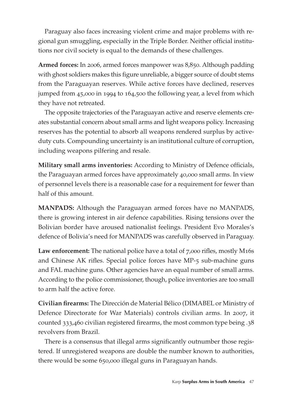Paraguay also faces increasing violent crime and major problems with regional gun smuggling, especially in the Triple Border. Neither official institutions nor civil society is equal to the demands of these challenges.

**Armed forces:** In 2006, armed forces manpower was 8,850. Although padding with ghost soldiers makes this figure unreliable, a bigger source of doubt stems from the Paraguayan reserves. While active forces have declined, reserves jumped from 45,000 in 1994 to 164,500 the following year, a level from which they have not retreated.

The opposite trajectories of the Paraguayan active and reserve elements creates substantial concern about small arms and light weapons policy. Increasing reserves has the potential to absorb all weapons rendered surplus by activeduty cuts. Compounding uncertainty is an institutional culture of corruption, including weapons pilfering and resale.

**Military small arms inventories:** According to Ministry of Defence officials, the Paraguayan armed forces have approximately 40,000 small arms. In view of personnel levels there is a reasonable case for a requirement for fewer than half of this amount.

**MANPADS:** Although the Paraguayan armed forces have no MANPADS, there is growing interest in air defence capabilities. Rising tensions over the Bolivian border have aroused nationalist feelings. President Evo Morales's defence of Bolivia's need for MANPADS was carefully observed in Paraguay.

Law enforcement: The national police have a total of 7,000 rifles, mostly M16s and Chinese AK rifles. Special police forces have MP-5 sub-machine guns and FAL machine guns. Other agencies have an equal number of small arms. According to the police commissioner, though, police inventories are too small to arm half the active force.

**Civilian firearms:** The Dirección de Material Bélico (DIMABEL or Ministry of Defence Directorate for War Materials) controls civilian arms. In 2007, it counted 333,460 civilian registered firearms, the most common type being .38 revolvers from Brazil.

There is a consensus that illegal arms significantly outnumber those registered. If unregistered weapons are double the number known to authorities, there would be some 650,000 illegal guns in Paraguayan hands.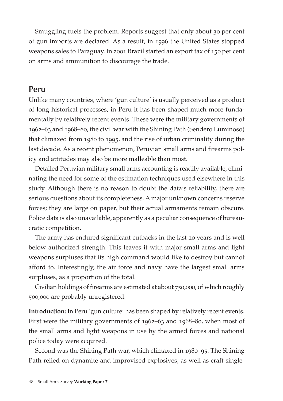Smuggling fuels the problem. Reports suggest that only about 30 per cent of gun imports are declared. As a result, in 1996 the United States stopped weapons sales to Paraguay. In 2001 Brazil started an export tax of 150 per cent on arms and ammunition to discourage the trade.

### **Peru**

Unlike many countries, where 'gun culture' is usually perceived as a product of long historical processes, in Peru it has been shaped much more fundamentally by relatively recent events. These were the military governments of 1962–63 and 1968–80, the civil war with the Shining Path (Sendero Luminoso) that climaxed from 1980 to 1995, and the rise of urban criminality during the last decade. As a recent phenomenon, Peruvian small arms and firearms policy and attitudes may also be more malleable than most.

Detailed Peruvian military small arms accounting is readily available, eliminating the need for some of the estimation techniques used elsewhere in this study. Although there is no reason to doubt the data's reliability, there are serious questions about its completeness. A major unknown concerns reserve forces; they are large on paper, but their actual armaments remain obscure. Police data is also unavailable, apparently as a peculiar consequence of bureaucratic competition.

The army has endured significant cutbacks in the last 20 years and is well below authorized strength. This leaves it with major small arms and light weapons surpluses that its high command would like to destroy but cannot afford to. Interestingly, the air force and navy have the largest small arms surpluses, as a proportion of the total.

Civilian holdings of firearms are estimated at about 750,000, of which roughly 500,000 are probably unregistered.

**Introduction:** In Peru 'gun culture' has been shaped by relatively recent events. First were the military governments of 1962–63 and 1968–80, when most of the small arms and light weapons in use by the armed forces and national police today were acquired.

Second was the Shining Path war, which climaxed in 1980–95. The Shining Path relied on dynamite and improvised explosives, as well as craft single-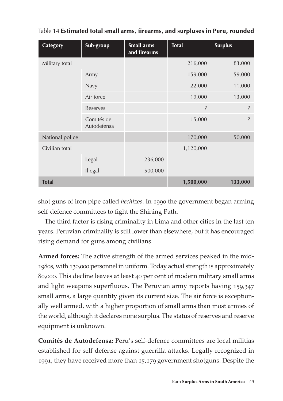| Category        | Sub-group                 | <b>Small arms</b><br>and firearms | <b>Total</b> | <b>Surplus</b> |
|-----------------|---------------------------|-----------------------------------|--------------|----------------|
| Military total  |                           |                                   | 216,000      | 83,000         |
|                 | Army                      |                                   | 159,000      | 59,000         |
|                 | Navy                      |                                   | 22,000       | 11,000         |
|                 | Air force                 |                                   | 19,000       | 13,000         |
|                 | Reserves                  |                                   | Ş            | Ş              |
|                 | Comités de<br>Autodefensa |                                   | 15,000       | Ş              |
| National police |                           |                                   | 170,000      | 50,000         |
| Civilian total  |                           |                                   | 1,120,000    |                |
|                 | Legal                     | 236,000                           |              |                |
|                 | Illegal                   | 500,000                           |              |                |
| <b>Total</b>    |                           |                                   | 1,500,000    | 133,000        |

Table 14 Estimated total small arms, firearms, and surpluses in Peru, rounded

shot guns of iron pipe called *hechizos*. In 1990 the government began arming self-defence committees to fight the Shining Path.

The third factor is rising criminality in Lima and other cities in the last ten years. Peruvian criminality is still lower than elsewhere, but it has encouraged rising demand for guns among civilians.

**Armed forces:** The active strength of the armed services peaked in the mid-1980s, with 130,000 personnel in uniform. Today actual strength is approximately 80,000. This decline leaves at least 40 per cent of modern military small arms and light weapons superfluous. The Peruvian army reports having 159,347 small arms, a large quantity given its current size. The air force is exceptionally well armed, with a higher proportion of small arms than most armies of the world, although it declares none surplus. The status of reserves and reserve equipment is unknown.

**Comités de Autodefensa:** Peru's self-defence committees are local militias established for self-defense against guerrilla attacks. Legally recognized in 1991, they have received more than 15,179 government shotguns. Despite the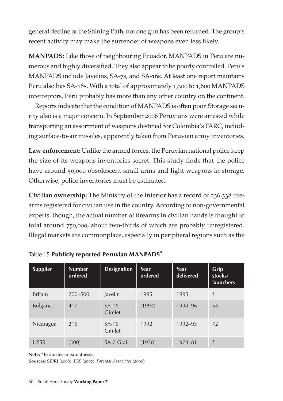general decline of the Shining Path, not one gun has been returned. The group's recent activity may make the surrender of weapons even less likely.

**MANPADS:** Like those of neighbouring Ecuador, MANPADS in Peru are numerous and highly diversified. They also appear to be poorly controlled. Peru's MANPADS include Javelins, SA-7s, and SA-16s. At least one report maintains Peru also has SA-18s. With a total of approximately 1,300 to 1,600 MANPADS interceptors, Peru probably has more than any other country on the continent.

Reports indicate that the condition of MANPADS is often poor. Storage security also is a major concern. In September 2006 Peruvians were arrested while transporting an assortment of weapons destined for Colombia's FARC, including surface-to-air missiles, apparently taken from Peruvian army inventories.

**Law enforcement:** Unlike the armed forces, the Peruvian national police keep the size of its weapons inventories secret. This study finds that the police have around 50,000 obsolescent small arms and light weapons in storage. Otherwise, police inventories must be estimated.

**Civilian ownership:** The Ministry of the Interior has a record of 236,338 firearms registered for civilian use in the country. According to non-governmental experts, though, the actual number of firearms in civilian hands is thought to total around 750,000, about two-thirds of which are probably unregistered. Illegal markets are commonplace, especially in peripheral regions such as the

| <b>Supplier</b> | <b>Number</b><br>ordered | <b>Designation</b> | Year<br>ordered | Year<br>delivered | Grip<br>stocks/<br><b>launchers</b> |
|-----------------|--------------------------|--------------------|-----------------|-------------------|-------------------------------------|
| <b>Britain</b>  | 200-500                  | Javelin            | 1995            | 1995              | Ş                                   |
| <b>Bulgaria</b> | 417                      | $SA-16$<br>Gimlet  | (1994)          | 1994-96           | 56                                  |
| Nicaragua       | 216                      | $SA-16$<br>Gimlet  | 1992            | 1992-93           | 72                                  |
| <b>USSR</b>     | (500)                    | SA-7 Grail         | (1978)          | 1978-81           | $\overline{\mathcal{E}}$            |

Table 15 Publicly reported Peruvian MANPADS\*

**Note:** \* Estimates in parentheses.

**Sources:** SIPRI (2008); IISS (2007); *Forecast Associates* (2000)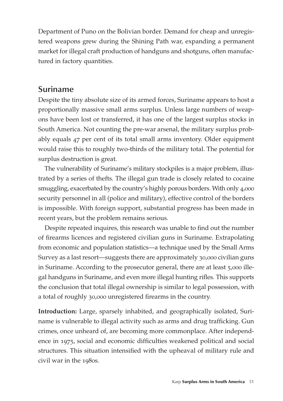Department of Puno on the Bolivian border. Demand for cheap and unregistered weapons grew during the Shining Path war, expanding a permanent market for illegal craft production of handguns and shotguns, often manufactured in factory quantities.

### **Suriname**

Despite the tiny absolute size of its armed forces, Suriname appears to host a proportionally massive small arms surplus. Unless large numbers of weapons have been lost or transferred, it has one of the largest surplus stocks in South America. Not counting the pre-war arsenal, the military surplus probably equals 47 per cent of its total small arms inventory. Older equipment would raise this to roughly two-thirds of the military total. The potential for surplus destruction is great.

The vulnerability of Suriname's military stockpiles is a major problem, illustrated by a series of thefts. The illegal gun trade is closely related to cocaine smuggling, exacerbated by the country's highly porous borders. With only 4,000 security personnel in all (police and military), effective control of the borders is impossible. With foreign support, substantial progress has been made in recent years, but the problem remains serious.

Despite repeated inquires, this research was unable to find out the number of firearms licences and registered civilian guns in Suriname. Extrapolating from economic and population statistics—a technique used by the Small Arms Survey as a last resort—suggests there are approximately 30,000 civilian guns in Suriname. According to the prosecutor general, there are at least 5,000 illegal handguns in Suriname, and even more illegal hunting rifles. This supports the conclusion that total illegal ownership is similar to legal possession, with a total of roughly 30,000 unregistered firearms in the country.

**Introduction:** Large, sparsely inhabited, and geographically isolated, Suriname is vulnerable to illegal activity such as arms and drug trafficking. Gun crimes, once unheard of, are becoming more commonplace. After independence in 1975, social and economic difficulties weakened political and social structures. This situation intensified with the upheaval of military rule and civil war in the 1980s.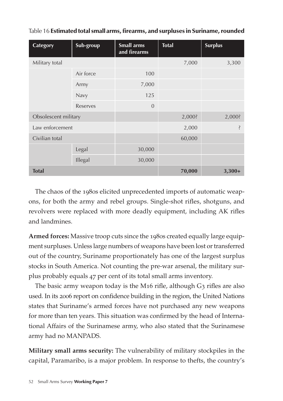| <b>Category</b> | Sub-group            | Small arms<br>and firearms | <b>Total</b> | <b>Surplus</b> |
|-----------------|----------------------|----------------------------|--------------|----------------|
| Military total  |                      |                            | 7,000        | 3,300          |
|                 | Air force            | 100                        |              |                |
|                 | Army                 | 7,000                      |              |                |
|                 | Navy                 | 125                        |              |                |
|                 | Reserves             | $\Omega$                   |              |                |
|                 | Obsolescent military |                            | 2,000?       | 2,000?         |
| Law enforcement |                      |                            | 2,000        | Ş              |
| Civilian total  |                      |                            | 60,000       |                |
|                 | Legal                | 30,000                     |              |                |
|                 | Illegal              | 30,000                     |              |                |
| <b>Total</b>    |                      |                            | 70,000       | $3,300+$       |

| Table 16 Estimated total small arms, firearms, and surpluses in Suriname, rounded |  |
|-----------------------------------------------------------------------------------|--|
|-----------------------------------------------------------------------------------|--|

The chaos of the 1980s elicited unprecedented imports of automatic weapons, for both the army and rebel groups. Single-shot rifles, shotguns, and revolvers were replaced with more deadly equipment, including AK rifles and landmines.

**Armed forces:** Massive troop cuts since the 1980s created equally large equipment surpluses. Unless large numbers of weapons have been lost or transferred out of the country, Suriname proportionately has one of the largest surplus stocks in South America. Not counting the pre-war arsenal, the military surplus probably equals 47 per cent of its total small arms inventory.

The basic army weapon today is the M16 rifle, although G3 rifles are also used. In its 2006 report on confidence building in the region, the United Nations states that Suriname's armed forces have not purchased any new weapons for more than ten years. This situation was confirmed by the head of International Affairs of the Surinamese army, who also stated that the Surinamese army had no MANPADS.

**Military small arms security:** The vulnerability of military stockpiles in the capital, Paramaribo, is a major problem. In response to thefts, the country's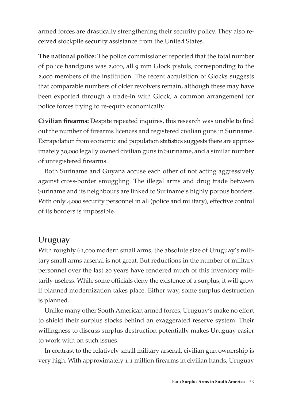armed forces are drastically strengthening their security policy. They also received stockpile security assistance from the United States.

**The national police:** The police commissioner reported that the total number of police handguns was 2,000, all 9 mm Glock pistols, corresponding to the 2,000 members of the institution. The recent acquisition of Glocks suggests that comparable numbers of older revolvers remain, although these may have been exported through a trade-in with Glock, a common arrangement for police forces trying to re-equip economically.

**Civilian firearms:** Despite repeated inquires, this research was unable to find out the number of firearms licences and registered civilian guns in Suriname. Extrapolation from economic and population statistics suggests there are approximately 30,000 legally owned civilian guns in Suriname, and a similar number of unregistered firearms.

Both Suriname and Guyana accuse each other of not acting aggressively against cross-border smuggling. The illegal arms and drug trade between Suriname and its neighbours are linked to Suriname's highly porous borders. With only 4,000 security personnel in all (police and military), effective control of its borders is impossible.

### **Uruguay**

With roughly 61,000 modern small arms, the absolute size of Uruguay's military small arms arsenal is not great. But reductions in the number of military personnel over the last 20 years have rendered much of this inventory militarily useless. While some officials deny the existence of a surplus, it will grow if planned modernization takes place. Either way, some surplus destruction is planned.

Unlike many other South American armed forces, Uruguay's make no effort to shield their surplus stocks behind an exaggerated reserve system. Their willingness to discuss surplus destruction potentially makes Uruguay easier to work with on such issues.

In contrast to the relatively small military arsenal, civilian gun ownership is very high. With approximately 1.1 million firearms in civilian hands, Uruguay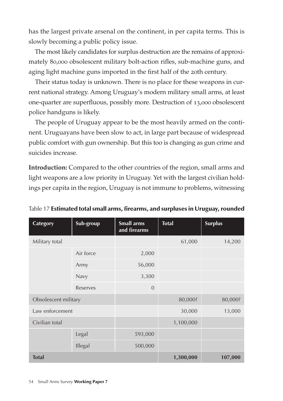has the largest private arsenal on the continent, in per capita terms. This is slowly becoming a public policy issue.

The most likely candidates for surplus destruction are the remains of approximately 80,000 obsolescent military bolt-action rifles, sub-machine guns, and aging light machine guns imported in the first half of the 20th century.

Their status today is unknown. There is no place for these weapons in current national strategy. Among Uruguay's modern military small arms, at least one-quarter are superfluous, possibly more. Destruction of 13,000 obsolescent police handguns is likely.

The people of Uruguay appear to be the most heavily armed on the continent. Uruguayans have been slow to act, in large part because of widespread public comfort with gun ownership. But this too is changing as gun crime and suicides increase.

**Introduction:** Compared to the other countries of the region, small arms and light weapons are a low priority in Uruguay. Yet with the largest civilian holdings per capita in the region, Uruguay is not immune to problems, witnessing

| Table 17 Estimated total small arms, firearms, and surpluses in Uruguay, rounded |  |  |  |
|----------------------------------------------------------------------------------|--|--|--|
|                                                                                  |  |  |  |

| <b>Category</b>      | Sub-group | <b>Small arms</b><br>and firearms | <b>Total</b> | <b>Surplus</b> |
|----------------------|-----------|-----------------------------------|--------------|----------------|
| Military total       |           |                                   | 61,000       | 14,200         |
|                      | Air force | 2,000                             |              |                |
|                      | Army      | 56,000                            |              |                |
|                      | Navy      | 3,300                             |              |                |
|                      | Reserves  | $\overline{0}$                    |              |                |
| Obsolescent military |           |                                   | 80,000?      | 80,000?        |
| Law enforcement      |           |                                   | 30,000       | 13,000         |
| Civilian total       |           |                                   | 1,100,000    |                |
|                      | Legal     | 593,000                           |              |                |
|                      | Illegal   | 500,000                           |              |                |
| <b>Total</b>         |           |                                   | 1,300,000    | 107,000        |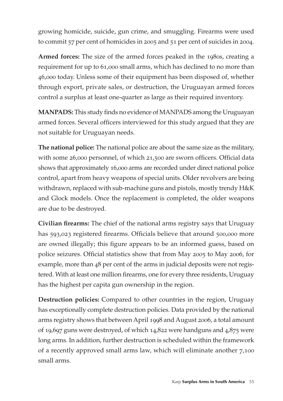growing homicide, suicide, gun crime, and smuggling. Firearms were used to commit 57 per cent of homicides in 2005 and 51 per cent of suicides in 2004.

**Armed forces:** The size of the armed forces peaked in the 1980s, creating a requirement for up to 61,000 small arms, which has declined to no more than 46,000 today. Unless some of their equipment has been disposed of, whether through export, private sales, or destruction, the Uruguayan armed forces control a surplus at least one-quarter as large as their required inventory.

**MANPADS:** This study finds no evidence of MANPADS among the Uruguayan armed forces. Several officers interviewed for this study argued that they are not suitable for Uruguayan needs.

**The national police:** The national police are about the same size as the military, with some 26,000 personnel, of which 21,500 are sworn officers. Official data shows that approximately 16,000 arms are recorded under direct national police control, apart from heavy weapons of special units. Older revolvers are being withdrawn, replaced with sub-machine guns and pistols, mostly trendy H&K and Glock models. Once the replacement is completed, the older weapons are due to be destroyed.

**Civilian firearms:** The chief of the national arms registry says that Uruguay has 593,023 registered firearms. Officials believe that around 500,000 more are owned illegally; this figure appears to be an informed guess, based on police seizures. Official statistics show that from May 2005 to May 2006, for example, more than 48 per cent of the arms in judicial deposits were not registered. With at least one million firearms, one for every three residents, Uruguay has the highest per capita gun ownership in the region.

**Destruction policies:** Compared to other countries in the region, Uruguay has exceptionally complete destruction policies. Data provided by the national arms registry shows that between April 1998 and August 2006, a total amount of 19,697 guns were destroyed, of which 14,822 were handguns and 4,875 were long arms. In addition, further destruction is scheduled within the framework of a recently approved small arms law, which will eliminate another 7,100 small arms.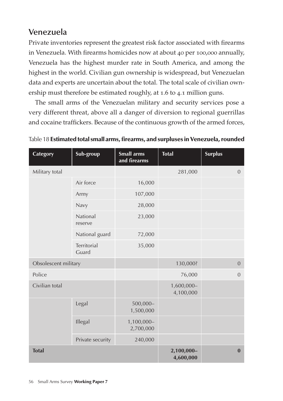# **Venezuela**

Private inventories represent the greatest risk factor associated with firearms in Venezuela. With firearms homicides now at about 40 per 100,000 annually, Venezuela has the highest murder rate in South America, and among the highest in the world. Civilian gun ownership is widespread, but Venezuelan data and experts are uncertain about the total. The total scale of civilian ownership must therefore be estimated roughly, at 1.6 to 4.1 million guns.

The small arms of the Venezuelan military and security services pose a very different threat, above all a danger of diversion to regional guerrillas and cocaine traffickers. Because of the continuous growth of the armed forces,

| Category             | Sub-group            | <b>Small arms</b><br>and firearms | <b>Total</b>            | <b>Surplus</b> |
|----------------------|----------------------|-----------------------------------|-------------------------|----------------|
| Military total       |                      |                                   | 281,000                 | $\overline{0}$ |
|                      | Air force            | 16,000                            |                         |                |
|                      | Army                 | 107,000                           |                         |                |
|                      | Navy                 | 28,000                            |                         |                |
|                      | National<br>reserve  | 23,000                            |                         |                |
|                      | National guard       | 72,000                            |                         |                |
|                      | Territorial<br>Guard | 35,000                            |                         |                |
| Obsolescent military |                      |                                   | 130,000?                | $\mathbf{0}$   |
| Police               |                      |                                   | 76,000                  | $\overline{0}$ |
| Civilian total       |                      |                                   | 1,600,000-<br>4,100,000 |                |
|                      | Legal                | $500,000 -$<br>1,500,000          |                         |                |
|                      | Illegal              | 1,100,000-<br>2,700,000           |                         |                |
|                      | Private security     | 240,000                           |                         |                |
| <b>Total</b>         |                      | 2,100,000-<br>4,600,000           | $\bf{0}$                |                |

Table 18 Estimated total small arms, firearms, and surpluses in Venezuela, rounded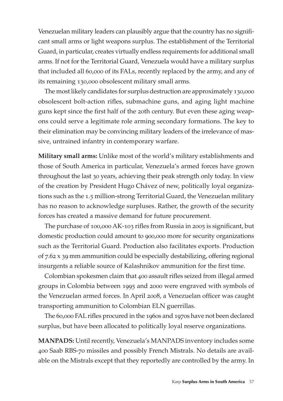Venezuelan military leaders can plausibly argue that the country has no significant small arms or light weapons surplus. The establishment of the Territorial Guard, in particular, creates virtually endless requirements for additional small arms. If not for the Territorial Guard, Venezuela would have a military surplus that included all 60,000 of its FALs, recently replaced by the army, and any of its remaining 130,000 obsolescent military small arms.

The most likely candidates for surplus destruction are approximately 130,000 obsolescent bolt-action rifles, submachine guns, and aging light machine guns kept since the first half of the 20th century. But even these aging weapons could serve a legitimate role arming secondary formations. The key to their elimination may be convincing military leaders of the irrelevance of massive, untrained infantry in contemporary warfare.

**Military small arms:** Unlike most of the world's military establishments and those of South America in particular, Venezuela's armed forces have grown throughout the last 30 years, achieving their peak strength only today. In view of the creation by President Hugo Chávez of new, politically loyal organizations such as the 1.5 million-strong Territorial Guard, the Venezuelan military has no reason to acknowledge surpluses. Rather, the growth of the security forces has created a massive demand for future procurement.

The purchase of 100,000 AK-103 rifles from Russia in 2005 is significant, but domestic production could amount to 900,000 more for security organizations such as the Territorial Guard. Production also facilitates exports. Production of 7.62 x 39 mm ammunition could be especially destabilizing, offering regional insurgents a reliable source of Kalashnikov ammunition for the first time.

Colombian spokesmen claim that 400 assault rifles seized from illegal armed groups in Colombia between 1995 and 2000 were engraved with symbols of the Venezuelan armed forces. In April 2008, a Venezuelan officer was caught transporting ammunition to Colombian ELN guerrillas.

The 60,000 FAL rifles procured in the 1960s and 1970s have not been declared surplus, but have been allocated to politically loyal reserve organizations.

**MANPADS:** Until recently, Venezuela's MANPADS inventory includes some 400 Saab RBS-70 missiles and possibly French Mistrals. No details are available on the Mistrals except that they reportedly are controlled by the army. In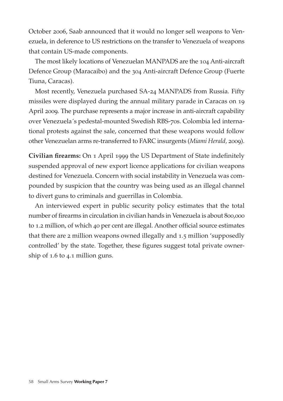October 2006, Saab announced that it would no longer sell weapons to Venezuela, in deference to US restrictions on the transfer to Venezuela of weapons that contain US-made components.

The most likely locations of Venezuelan MANPADS are the 104 Anti-aircraft Defence Group (Maracaibo) and the 304 Anti-aircraft Defence Group (Fuerte Tiuna, Caracas).

Most recently, Venezuela purchased SA-24 MANPADS from Russia. Fifty missiles were displayed during the annual military parade in Caracas on 19 April 2009. The purchase represents a major increase in anti-aircraft capability over Venezuela´s pedestal-mounted Swedish RBS-70s. Colombia led international protests against the sale, concerned that these weapons would follow other Venezuelan arms re-transferred to FARC insurgents (*Miami Herald,* 2009).

**Civilian firearms:** On 1 April 1999 the US Department of State indefinitely suspended approval of new export licence applications for civilian weapons destined for Venezuela. Concern with social instability in Venezuela was compounded by suspicion that the country was being used as an illegal channel to divert guns to criminals and guerrillas in Colombia.

An interviewed expert in public security policy estimates that the total number of firearms in circulation in civilian hands in Venezuela is about 800,000 to 1.2 million, of which 40 per cent are illegal. Another official source estimates that there are 2 million weapons owned illegally and 1.5 million 'supposedly controlled' by the state. Together, these figures suggest total private ownership of 1.6 to 4.1 million guns.